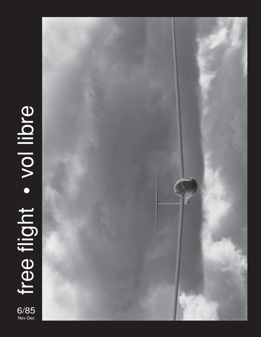# free flight . vol libre Nove flight • vol libre  $6/85$ <br>Nov-Dec

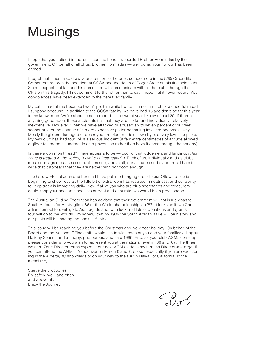# Musings

I hope that you noticed in the last issue the honour accorded Brother Hormisdas by the government. On behalf of all of us, Brother Hormisdas — well done, your honour has been earned.

I regret that I must also draw your attention to the brief, somber note in the 5/85 Crocodile Corner that records the accident at COSA and the death of Roger Crete on his first solo flight. Since I expect that lan and his committee will communicate with all the clubs through their CFIs on this tragedy, I'll not comment further other than to say I hope that it never recurs. Your condolences have been extended to the bereaved family.

My cat is mad at me because I won't pet him while I write. I'm not in much of a cheerful mood I suppose because, in addition to the COSA fatality, we have had 18 accidents so far this year to my knowledge. We're about to set a record — the worst year I know of had 20. If there is anything good about these accidents it is that they are, so far and individually, relatively inexpensive. However, when we have attacked or abused six to seven percent of our fleet, sooner or later the chance of a more expensive glider becoming involved becomes likely. Mostly the gliders damaged or destroyed are older models flown by relatively low time pilots. My own club has had four, plus a serious incident (a few extra centimetres of altitude allowed a glider to scrape its underside on a power line rather than have it come through the canopy).

Is there a common thread? There appears to be — poor circuit judgement and landing. (This issue is treated in the series, "Low Loss Instructing".) Each of us, individually and as clubs, must once again reassess our abilities and, above all, our attitudes and standards. I hate to write that it appears that they are neither high nor good enough.

The hard work that Jean and her staff have put into bringing order to our Ottawa office is beginning to show results; the little bit of extra room has resulted in neatness, and our ability to keep track is improving daily. Now if all of you who are club secretaries and treasurers could keep your accounts and lists current and accurate, we would be in great shape.

The Australian Gliding Federation has advised that their government will not issue visas to South Africans for Austraglide '86 or the World championships in '87. It looks as if two Canadian competitors will go to Austraglide and, with luck and lots of donations and grants, four will go to the Worlds. I'm hopeful that by 1989 the South African issue will be history and our pilots will be leading the pack in Austria.

This issue will be reaching you before the Christmas and New Year holiday. On behalf of the Board and the National Office staff I would like to wish each of you and your families a Happy Holiday Season and a happy, prosperous, and safe 1986. And, as your club AGMs come up, please consider who you wish to represent you at the national level in '86 and '87. The three western Zone Director terms expire at our next AGM as does my term as Director-at-Large. If you can attend the AGM in Vancouver on March 6 and 7, do so, especially if you are vacationing in the Alberta/BC snowfields or on your way to the surf in Hawaii or California. In the meantime,

Starve the crocodiles, Fly safely, well, and often and above all, Enjoy the Journey.

Bob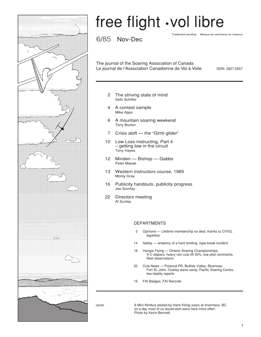

# free flight *vol* libre

6/85 Nov-Dec

Trademark pending Marque de commerce en instance

The journal of the Soaring Association of Canada Le journal de l'Association Canadienne de Vol à Voile

ISSN 0827-2557

- 2 The striving state of mind Seth Schlifer
- 4 A contest sample Mike Apps
- 6 A mountain soaring weekend Tony Burton
- 7 Crisis aloft the "Gimli glider"
- 10 Low Loss instructing, Part 4 – getting low in the circuit Tony Hayes
- 12 Minden Bishop Gabbs Peter Masak
- 13 Western instructors course, 1985 Monty Gray
- 16 Publicity handouts, publicity progress Joe Somfay
- 22 Directors meeting Al Sunley

### DEPARTMENTS

- 3 Opinions Lifetime membership no deal, thanks to CVVQ, **legalities**
- 14 Safety anatomy of a hard landing, rope break incident
- 18 Hangar Flying Ontario Soaring Championships, X-C diapers, heavy rain cuts lift 30%, tow pilot comments, Rieti observations
- 20 Club News Polaroid PR, Bulkley Valley, Bluenose, Fort St. John, Cowley wave camp, Pacific Soaring Centre, two fatality reports
- 19 FAI Badges, FAI Records

cover A Mini-Nimbus piloted by Hans König soars at Invermere, BC on a day most of us would wish were here more often. Photo by Kevin Bennett.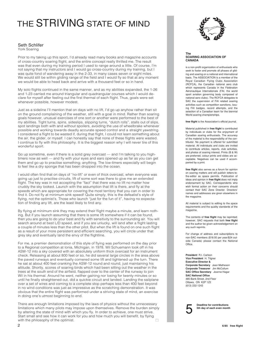### THE STRIVING STATE OF MIND

### Seth Schlifer York Soaring

Prior to my taking up this sport, I'd already read many books and magazine accounts of cross-country soaring flight, and the entire concept really thrilled me. The result was that even during my training period I used to range around a little. Of course, I'm not saying that my instructors and I would go cross-country during my training, but I was quite fond of wandering away in the 2-33, in many cases seven or eight miles. We would still be within gliding range of the field and I would fly so that at any moment we would be able to head back and arrive with a thousand feet or so in hand.

My solo flights continued in the same manner, and as my abilities expanded, the 1-26 and 1-23 carried me around triangular and quadrangular courses which I would declare for myself after feeling out the first thermal of each flight. Thus, goals were set whenever possible, however modest.

Just as a sideline I'll mention that on days with no lift, I'd go up anyhow rather than sit on the ground complaining of the weather, still with a goal in mind. Rather than soaring goals however, unusual exercises of one sort or another were performed to the best of my abilities. Tight turns, spins, sideslips, slipping turns, "dutch rolls", stalls out of slips, spot landings both with and without spoilers, avoiding the use of wheelbrake whenever possible and working towards deadly accurate speed control and a straight yawstring. I considered a flight to be wasted if, during that flight, I could not learn something about the air, the glider, or myself. I can honestly say that none of these flights were wasted. I continue to fly with this philosophy. It is the biggest reason why I will never tire of this wonderful sport.

Go up sometime, even if there is a solid grey overcast — and I'm talking to you hightimers now as well — and fly with your eyes and ears opened up as far as you can get them and go up to practise something; anything. The low-timers especially will begin to feel like a dry sponge that has been dropped into the ocean.

I would often find that on days of "no-lift" or even of thick overcast, when everyone was going up just to practise circuits, lift of some sort was there to give me an extended flight. The key was in not accepting the "fact" that there was no lift no matter how cruddy the sky looked. Launch with the assumption that lift is there, and fly at the speeds which are appropriate for covering the most territory that you can in order to find it. Do not fly at minimum sink speed! Quite simply, this is the defeatist's style of flying, not the optimist's. Those who launch "just for the fun of it", having no expectation of finding any lift, are the least likely to find any.

By flying at minimum sink they may extend their flight maybe a minute, and learn nothing. But if you launch assuming that there is some lift somewhere if it can be found, then you are going to do your best and fly with sensitivity to the surrounding air. You will search around at best L/D speed, and if you are unlucky, will land after a flight lasting a couple of minutes less than the other pilot. But when the lift is found on one such flight as a result of your more persistent and efficient searching, you will circle under that grey sky and eventually land the envy of the flightline.

For me, a premier demonstration of this style of flying was performed on the day prior to a Regional competition at lonia, Michigan, in 1978. Wil Schuemann took off in his ASW-12 into a sky covered with an absolutely uniform thick overcast for an instrument check. Releasing at about 800 feet or so, he did several large circles in the area above the paved runways and eventually cornered some lift and tightened up the turn. There he sat at about 400 feet cranking the ASW-12 round and round, just maintaining his altitude. Shortly, scores of soaring birds which had been sitting out the weather in the trees at the south end of the airfield, flapped over to the center of the runway to join Wil in his thermal. Around he went, neither gaining nor losing for twenty minutes or so until he finally straightened out, did a quickie circuit and landed. Landing the sailplane over a set of wires and coming to a complete stop perhaps less than 400 feet beyond in no wind conditions was just as impressive as the scratching demonstration. It was obvious that the entire flight was performed under a striving state of mind, an exercise in doing one's utmost beginning to end.

 $\Box$ There are enough limitations imposed by the laws of physics without the unnecessary limitations which many pilots may impose upon themselves. Remove the burden simply by altering the state of mind with which you fly. In order to achieve, one must strive. Start small and see how it can work for you and how much you will benefit, by flying with the philosophy of the optimist.



#### **The SOARING ASSOCIATION OF CANADA**

is a non-profit organization of enthusiasts who seek to foster and promote all phases of gliding and soaring on a national and international basis. The ASSOCIATION is a member of the Royal Canadian Flying Clubs Association (RCFCA), the Canadian national aero club which represents Canada in the Fédération Aéronautique Internationale (FAI, the world sport aviation governing body composed of national aero clubs). The RCFCA delegates to SAC the supervision of FAI related soaring activities such as competition sanctions, issuing FAI badges, record attempts, and the selection of a Canadian team for the biennial World soaring championships.

#### **free flight** is the Association's official journal.

Material published in **free flight** is contributed by individuals or clubs for the enjoyment of Canadian soaring enthusiasts. The accuracy of the material is the responsibility of the contributor. No payment is offered for submitted material. All individuals and clubs are invited to contribute articles, reports, club activities, and photos of soaring interest. Prints (B & W) are preferred, colour prints and slides are acceptable. Negatives can be used if accompanied by a print.

**free flight** also serves as a forum for opinion on soaring matters and will publish letters-tothe-editor as space permits. Publication of ideas and opinion in **free flight** does not imply endorsement by SAC. Correspondents who wish formal action on their concerns should contact their SAC Zone Director. Directors' names and addresses are given elsewhere in the magazine.

All material is subject to editing to the space requirements and the quality standards of the magazine.

The contents of **free flight** may be reprinted; however, SAC requests that both **free flight** and the author be given acknowledgement on any such reprints.

For change of address and subscriptions to non-SAC members (\$18.00 per year/\$24 outside Canada) please contact the National Office.

**President** R.I. Carlson **Vice President H. Tilgner Executive Director & Corporate Secretary** Jean Matheson **Corporate Treasurer** Jim McCollum **SAC Office Secretary** Joanne Hagar **SAC National Office** 485 Bank Street, 2nd Floor Ottawa, ON K2P 1Z2 (613) 232-1243

**Deadline for contributions**<br>5th day of each even mont **5th day of each even month**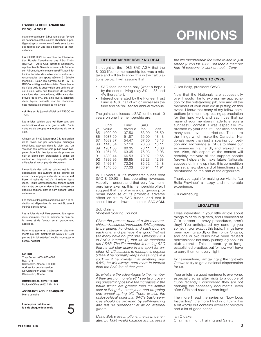### **L'ASSOCIATION CANADIENNE DE VOL À VOILE**

est une organisation à but non lucratif formée de personnes enthousiastes cherchant à protéger et à promouvoir le vol à voile sous toutes ses formes sur une base nationale et internationale.

L'ASSOCIATION est membre de L'Association Royale Canadienne des Aéro Clubs (RCFCA – Aéro Club National Canadien), représentant le Canada au sein de la Fédération Aéronautique Internationale (FAI, administration formée des aéro clubs nationaux responsables des sports aériens à l'échelle mondiale). Selon les normes de la FAI, le RCFCA a délégué à l'Association Canadienne de Vol à Voile la supervision des activités de vol à voile telles que tentatives de records, sanctions des compétitions, délivrance des brevets de la FAI, etc. ainsi que la sélection d'une équipe nationale pour les championnats mondiaux biennaux de vol à voile.

**vol libre** est le journal officiel de l'ASSOCIA-TION.

Les articles publiés dans **vol libre** sont des contributions dues à la gracieuseté d'individus ou de groupes enthousiastes du vol à voile.

Chacun est invité à participer à la réalisation de la revue, soit par reportages, échanges d'opinions, activités dans le club, etc. Un "courrier des lecteurs" sera publié selon l'espace disponible. Les épreuves de photos en noir et blanc sont préférables à celles en couleur ou diapositives. Les négatifs sont utilisables si accompagnés d'épreuves.

L'exactitude des articles publiés est la responsabilité des auteurs et ne saurait en aucun cas engager celle de la revue **vol libre,** ni celle de l'ACVV ni refléter leurs idées. Toute correspondance faisant l'objet d'un sujet personnel devra être adressé au directeur régional dont le nom apparait dans cette revue.

Les textes et les photos seront soumis à la rédaction et, dépendant de leur intérêt, seront insérés dans la revue.

Les articles de **vol libre** peuvent être reproduits librement, mais la mention du nom de la revue et de l'auteur serait grandement appréciée.

Pour changements d'adresse et abonnements aux non membres de l'ACVV (\$18.00 par an/ \$24 à l'extérieur) veuillez contacter le bureau national.

#### **EDITOR**

Tony Burton (403) 625-4563 Box 1916 Claresholm, Alberta T0L 0T0 Address for courier service: c/o Claresholm Local Press Claresholm, Alberta

**COMMERCIAL ADVERTISING** National Office (613) 232-1243

**ASSISTANT LANGUE FRANÇAISE** Pierre Lemaire

**Limite pour publication** le 5 de chaque deux mois

# **OPINIONS**

### **LIFETIME MEMBERSHIP NO DEAL**

I thought at the 1985 SAC AGM that the \$1000 lifetime membership fee was a mistake and will try to show this in the calculations below. I will assume that:

- SAC fees increase only (what a hope!) by the cost of living (say 3% in '85 and 4% thereafter),
- Interest generated by the Pioneer Trust Fund is 10%, half of which increases the fund and half is used for annual revenue.

The gains and losses to SAC for the next 10 years on one life membership are:

|    | Fund    | Fund    | SAC   |       |
|----|---------|---------|-------|-------|
| vr | value   | revenue | fee   | loss  |
| 85 | 1000.00 | 37.50   | 63.00 | 25.50 |
| 86 | 1037.50 | 51.87   | 65.00 | 13.13 |
| 87 | 1089.37 | 54.47   | 67.60 | 13.13 |
| 88 | 1143.84 | 57.19   | 70.30 | 13.11 |
| 89 | 1201.03 | 60.05   | 73.11 | 13.06 |
| 90 | 1261.08 | 63.05   | 76.03 | 12.98 |
| 91 | 1330.44 | 66.53   | 79.07 | 12.55 |
| 92 | 1396.96 | 69.85   | 82.23 | 12.38 |
| 93 | 1466.81 | 73.34   | 85.52 | 12.18 |
| 94 | 1540.55 | 77.03   | 88.94 | 11.91 |
|    |         |         |       |       |

In 10 years, a life membership has cost SAC \$139.93 in lost operating revenues. Happily, I understand that very few members have taken up this membership offer. I suggest that the offer is a dangerous proposal because of its probable adverse effect on future SAC funds, and that it should be withdrawn at the next SAC AGM.

### Bob Gairns Montreal Soaring Council

Given the present price of a life membership and assumed increases, SAC appears to be getting Fund-rich and cash poor on each one, and perhaps it is good that not too many have bought one. Obviously it is in SAC's interest (?) that its life members die ASAP. The life member is betting SAC that he will stay active in the sport for another 12-1/2 seasons to recoup his original \$1000 if he normally keeps his savings in a sock — if he invests it at anything over 6.5%, he will always earn more in interest than the SAC fee of that year.

So what are the advantages to the member if they are not monetary? I see two: covering oneself for possible fee increases in the future which are greater than the simple cost of living rise each year, and dropping one annual spring bill. There is also the philosophical point that SAC's basic services should be provided by self-financing and not be dependent at all on external grants.

Using Bob's assumptions, the cash generated by 1994 would balance annual fees if the life membership fee were raised to just under \$1250 for 1986. But then a member has 15 seasons to work on, but... Tony.

### **THANKS TO CVVQ**

Gilles Boily, president CVVQ

Now that the Nationals are successfully over I would like to express my appreciation for the outstanding job, you and all the members of your club did in putting on this event. I know that many of my fellow competitors join me in expressing appreciation for the hard work and sacrifices that so many of your members made to ensure a successful contest. I was especially impressed by your beautiful facilities and the many social events carried out. These are the things which make the Canadian Nationals more than just a soaring competition and encourage all of us to share our experiences in a friendly and relaxed manner. Also, this aspect of the contest will certainly motivate all the support people (crews, helpers) to make future Nationals successful. In my opinion, this competition has set a new standard of friendliness and helpfulness on the part of the organizers.

Thank you again for making our visit to "La Belle Province" a happy and memorable experience.

Ulli Werneburg

### **LEGALITIES**

I was interested in your little article about things to carry in gliders, and I chuckled at Gil's cartoon — crazy procedures, aren't they! You anticipated my sending you something on exactly this topic. Things have been moving rapidly on this front in Ontario, and one or two clubs have been refused permission to not carry journey log books in club aircraft. This is contrary to longestablished practice, but for now we'll have to carry them on every flight.

In the meantime, I am taking up the fight with Ottawa to try to get a national dispensation for us.

Your article is a good reminder to everyone, especially so as after visits to a couple of clubs recently I discovered they are not carrying the necessary documents, even after CFIs had read my warnings!

The more I read the series on "Low Loss Instructing", the more I find in it. I think it is a bit wordy but contains excellent pointers and a lot of good sense.

lan Oldaker

Chairman, Flight Training and Safety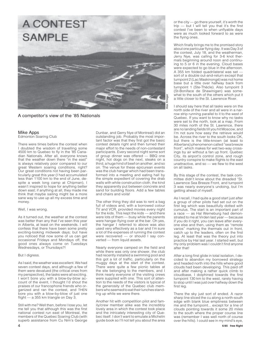

### A competitor's view of the '85 Nationals

### Mike Apps Edmonton Soaring Club

There were times before the contest when I doubted the wisdom of travelling some 4500 km to Quebec to fly in the '85 Canadian Nationals. After all, everyone knows that the weather down there "in the east" is always relatively poor compared to our great Western soaring conditions, right? Our great conditions not having been particularly great this year (I had accumulated less than 1100 km to the end of June, despite a week long camp at Chipman), I wasn't inspired to hope for anything better down east; if anything at all, they made me think that maybe sailing might be a more sane way to use up all my excess time and money.

### Well, I was wrong.

As it turned out, the weather at the contest was better than any that I've seen this year in Alberta, at least on the weekends. I will confess that there have been some pretty exciting-looking midweek days; but have you noticed that now some of us can get occasional Fridays and Mondays off, the good ones always come on Tuesdays Wednesdays, or Thursdays?!

### But I digress.

As I said, the weather was excellent. We had seven contest days, and although a few of them were devalued (the critical ones from my perspective), the tasks were all exciting. I won't bore you with a blow-by-blow account of the event, I thought I'd shout the praises of our francophone friends who organized and ran the contest, and THEN bore you with a blow-by-blow of just one flight — a 355 km triangle on Day 3.

Still with me? Well then, before I lose you, let me tell you that although this was the first national contest run east of Montreal, the members of the Quebec Soaring Club (with superb assistance from Cu Nim's George

Dunbar, and Gerry Nye of Montreal) did an outstanding job. Probably the most important factor was that they first got the basic contest details right and then turned their major effort to the needs of non-contestant participants. Every second night some sort of group dinner was offered — BBQ one night, hot dogs on the next, steaks on a third, a huge hind of beef on another, and so on. The venue for these epicurean events was the club hangar which had been transformed into a meeting and eating hall by the simple expedient of covering the drab walls with white construction cloth, the kind they apparently put between concrete and sand for building floors. Add a few tables and chairs and voilà!

The other thing they did was to rent a bag full of videos and, with a borrowed colour TV and VCR, provided movies every night for the kids. This kept the kids — and there were lots of them — busy while the parents were hangar-flying over at the bar. Oh yes, the hangar I referred to above was also used very effectively as a bar and I'm sure a lot of the expenses of running the contest were recovered — or should I say converted — from liquid assets.

Nearly everyone camped on the field and while there was only one shower, the club had recently installed a swimming pool and this got a lot of traffic, particularly on the muggy days at the start of the contest. There were quite a few picnic tables at the site belonging to the members, and I think nearly everyone of the visiting crews were supplied with one. This sort of attention to the needs of the visitors is typical of the generosity of the Quebec club members who seemed to eat their lunches standing up while we were there.

Another hit with competition pilot and family/crew member alike was the incredibly lovely area in which the contest took place and the intricately interesting city of Quebec itself. I don't want to emulate a Michelin guide book so I'll not tell you about the area

or the city — go there yourself, it's worth the trip — but I will tell you that it's the first contest I've been to when unflyable days were as much looked forward to as were the flying ones.

Which finally brings me to the promised story about one particular flying day. It was Day 3 of the contest, July 18, and the weatherman, Jerry Nye, was calling for 3-6 knot thermals beginning around noon and continuing to 5 or 6 in the evening. Cloud bases were expected to go blue in the afternoon. A 355 km folded quadrilateral was set sort of a double out-and-return except that turnpoint 2 (Lac Maskinongé) was not home base but a little over halfway back from turnpoint 1 (Ste-Thècle). Also turnpoint 3 (St-Boniface de Shawinigan) was somewhat to the south of the others which put it a little closer to the St. Lawrence River.

I should say here that all tasks were on the north side of the river and all were in a narrow strip running parallel to it to the west of Quebec. If you want to know why no tasks were set to the north, look at a map. From 30 miles north of the St. Lawrence, there are no landing fields till you hit Moscow, and I'm not sure how easy the retrieve would be. Across the river to the south looks OK, but there is the little-known (at least to Albertans) phenomenon called "sea breeze front", which makes for wet two-way crossings by air without a fan up front. Quebec City, its airport's control zone, and rough country conspire to make flights to the east unattractive, and so — we flew to the west on all tasks.

By this stage of the contest, the task committee didn't know about the dreaded "St. Lawrence Sea Breeze Front, and turnpoint 3 was nearly everyone's undoing, but I'm getting ahead of myself.

As I recall, I had quite a good start just after a group of other pilots had set out on the first leg which was beautifully dotted with cumulus. The start is an important part of a race — as Hal Werneburg had demonstrated to me at Virden last year — because if you do it right, you can leave after everyone else and then, using them as "remote varios" marking the thermals out in front, catch up to the leaders, often on the first leg. At least that was the theory put into practice by Hal last year. I started well, but my only problem was I couldn't find anyone after that!

After a long first glide in total isolation, I decided to abandon my borrowed strategy and headed north into the hills where good clouds had been developing. This paid off and after making a rather quick climb to cloudbase, I dolphined towards the first turnpoint 130 km to the west, rarely having to stop until I was just over halfway down the first leg.

There the sky just sort of ended. A razor sharp line sliced the cu along a north-south edge with blank blue emptiness between me and the turnpoint... except for a line of clouds pointing towards it some 20 miles to the south where the proper course line was (remember I was well north of course over the hills). I could see in my mind's eye,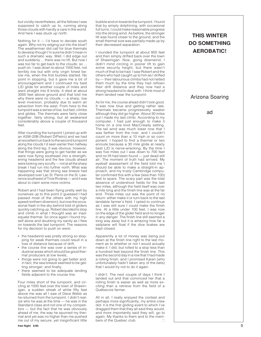but vividly nevertheless, all the fellows I was supposed to catch up to, running along those clouds with hardly a care in the world. And here I was stuck up north.

Nothing for it — I'd have to deviate south again. Why not try edging out into the blue? The weatherman did call for blue thermals to develop though I'm sure he didn't mean in such a dramatic way. Well, I did edge out and suddenly ... there was no lift. But now I was too far to get back to the clouds, so ... push on. I was down to about 1500 feet, not terribly low but with only virgin forest below me, when the first burbles started. No point in stopping, but it gave me a bit of encouragement and I continued my best L/D glide for another couple of miles and went straight into 6 knots. It died at about 3000 feet above ground and that told me why there were no clouds — a sharp, low level inversion, probably due to warm air advection from the west. From here to the turnpoint was a series of low, but fast, climbs and glides. The thermals were fairly close together, fairly strong, but all weakened considerably above a couple of thousand feet.

After rounding the turnpoint I joined up with an ASW-20B (Robert DiPietro) and we had an excellent run back to the second turnpoint along the clouds I'd seen earlier then halfway along the third leg. It was obvious, however, that things were going to get harder as we were now flying southeast into a strengthening headwind and the few clouds ahead were looking very scruffy — not at all the sharp break I had run into further north. What was happening was that strong sea breeze had developed over Lac St. Pierre on the St. Lawrence southwest of Trois Rivières — and it was about to claim some more victims.

Robert and I had been flying pretty well by ourselves up to this point (I guessed I had passed most of the others with my high speed northern diversion), but now the occasional flash in the sky behind told of gliders quickly catching up. Robert decided to stop and climb in what I thought was an inadequate thermal. So once again I found myself alone and doubting my sanity as I flew on towards the last turnpoint. The reasons for my decision to push on were:

- the headwind was pretty strong so stopping for weak thermals could result in a loss of distance because of drift,
- the course line was over a series of industrial areas which should be good thermal producers at low levels,
- things were not going to get better and, in fact, the sea breeze seemed to be getting stronger; and finally,
- there seemed to be adequate landing fields adjacent to the course line.

Four miles short of the turnpoint, and circling at 1000 feet over the town of Shawinigan, a sudden streak of white fifty feet above me was all I saw of Dave Webb as he returned from the turnpoint. I didn't realize who he was at the time — he was in the Standard class and not one of my competitors — but the fact that he was obviously ahead of me, the way he spurned my thermal and yet was no higher than me pushed me out of my secure, yet insignificant little bubble and on towards the turnpoint. I found that by simply dolphining, with occasional full turns, I could make reasonable progress into the strong wind. As before, the stronger lift was found closer to the ground, and the small thermal size was partially made up by their decreased separation.

I rounded the turnpoint at about 800 feet and then simply drifted back over the town of Shawinigan. Now, going downwind, I didn't mind circling in poorer lift to gain some security height, but there wasn't much of that to be had. I saw Robert and the others who had caught up to him as I drifted by — their labourious climbs had not netted them much by the time they had reflown their drift distance and they now had a strong headwind to deal with. I think most of them landed near the turnpoint.

As for me, the course ahead didn't look good. It was now blue and getting rather late. Thermals became progressively weaker although they did go higher. About 30 miles out I made my last climb. According to my computer, I had just enough to make it home on a one knot MacCready setting. The tail wind was much lower now that I was farther from the river, and I couldn't count on more than a 10 mph or so component. I hoped to find a thermal or two enroute because a 30 mile glide at nearly best L/D is nerve-wracking. By the time I was five miles out I was down to 700 feet and no lift had been found — just dead still air. The moment of truth had arrived. My eyeball assessment of the field told me I should be able to make a straight-in approach, and my trusty Cambridge computer confirmed this with a few (less than 100) feet to spare. The scary part was the total absence of undershoot fields for the last two miles, although the field itself was over a mile long and the finish line was at the far end. Three miles out was the point of no return: either make it or turn back to the last landable farmer's field. I opted to continue as I was still sure I could make the finish line. At a little under 100 feet, I was now on the edge of the glider field and no longer in any danger. The finish line still seemed a long way away but it is amazing how far a sailplane will float if the dive brakes are kept closed.

Apparently a lot of money was being put down at the finish line right to the last moment as to whether or not I would actually make it. I did, but rolled to a stop less than a hundred feet beyond the finish line. This was the second day in a row that I had made a rolling finish, and I promised Karen (who unfortunately hadn't taken any of the bets) that I would try not to do it again.

I didn't. The next couple of days I think I landed out and that convinced her that a rolling finish is easier as well as more exciting than a retrieve from the field of a Québecois farmer.

 $\Box$ All in all, I really enjoyed the contest and perhaps more significantly, my entire crew did: it is the first gliding event to which I've dragged them that they all said they would, and more importantly said they will, go to again. My thanks to them and to the members of the Quebec club.

Arizona Soaring

ad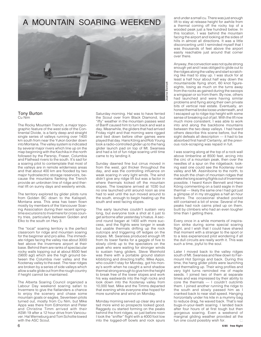### A MOUNTAIN SOARING WEEKEND



#### Tony Burton Cu Nim

The Rocky Mountain Trench, a major topographic feature of the west side of the Continental Divide, is a fairly deep and straight single series of valleys running over 1400 km south from near the Yukon border down into Montana. The valley system is indicated by several major rivers which line up on the map beginning with the Kechika in the north followed by the Parsnip, Fraser, Columbia and Flathead rivers to the south. It's sad for a soaring pilot to contemplate that most of the valleys are in remote wilderness areas and that about 400 km are flooded by two major hydroelectric storage reservoirs, because the mountains flanking the Trench provide an unbroken line of ridge and thermal lift on sunny days and westerly winds.

The territory explored by glider pilots runs from Golden BC down to the Kalispell, Montana area. This area has been flown mostly by members of the Vancouver Soaring Association during their recent springtime excursions to Invermere for cross country tries, particularly between Golden and EIko to the south on Hwy 3.

The "local" soaring territory is the perfect classroom for ridge and mountain soaring for the beginner and pro alike. The immediate ridges facing the valley rise about 3000 feet above the Invermere airport at their base. Behind them are ranks of spectacular rocky walls topping out at about 8500 feet (5600 agl) which are the high ground between the Columbia river valley and the Kootenay valley to the east. The near ridges are broken by a series of side valleys which allow a safe glide out from the rough country if height cannot be maintained.

The Alberta Soaring Council organized a Labour Day weekend soaring safari to Invermere to give the flatlanders a chance to enjoy the scenery and chase some mountain goats or eagles. Seventeen pilots turned out, mostly from Cu Nim, but Mike Apps was there from Edmonton and Peter and Christine Timm arrived with their ASW-19 after a 12 hour drive from Vancouver. Hal Werneburg and Tom Schollie towed with the ASC Scout.

Saturday morning. Hal was to have ferried the Scout over from Black Diamond, but "iffy" weather in the mountain passes west of Banff caused him to turn back and wait a day. Meanwhile, the gliders that had arrived Friday night and that morning were rigged and tied down before other games were played that day. Hans König and Rob Young took a radio-controlled glider up to the hang glider launch pad on top of Mt. Swansea and had a lot of fun ridge soaring until time came to try landing it.

Sunday dawned fine but cirrus moved in from the west, got thicker throughout the day, and was the controlling influence on weak soaring in very light winds. The wind didn't give any ridge lift but was a factor in where thermals kicked off the mountain slopes. The towplane arrived at 1030 but no one launched until around noon as one had to wait until the sun moved around to the south, enough to begin heating up the south and west facing slopes.

The early launches couldn't sustain very long, but everyone took a shot at it just to get airborne after yesterday's hiatus. A second round began at 1400 with more success, and the flights were longer in weak but usable thermals drifting up the rock outcrops and triggering off ledges on the slopes. Mt. Swansea produced enough lift from its lower flanks for a gaggle of five to slowly climb up to the spectators on the peak who were waiting for stronger winds to sustain hang gliders. Steve Weinhold was there with a portable ground station kibbitzing and directing traffic. Mike Apps, who couldn't stay for Monday, got his money's worth when he caught a wind shadow thermal strong enough to give him the height to break free of the lower slopes and work his way eastwards into the high rocks and look down into the Kootenay valley from 10,000 feet. Mike and the Timms departed that evening while everyone else hoped for more sunshine and wind on Monday.

Monday morning served up clear sky and a tad more wind so prospects looked good. Raggedy cu started forming on the peaks behind the front ridges, so just before noon I took the "sniffer" flight with a 4000 foot tow into the logged-off bowls and rock spurs

and under a small cu. There was just enough lift to stay at release height for awhile from a thermal coming off the rocky top of a wooded peak just a few hundred below. In this location, I was behind the mountain facing the airport and looking at the sides of hills in almost all directions. It was a little disconcerting until I reminded myself that I was thousands of feet above the airport easily reachable just around that corner over there.

Anyway, the convection was not quite strong enough yet and I was obliged to glide out to the ridges along the valley and start scratching like mad to stay up. I was stuck for at least a half hour about half way down the mountainside flying short, 60 knot figureeights, losing as much on the turns away from the rocks as gained during the swoops a wingspan or so from them. By now, others had launched and were having similar problems and flying along their own private bits of vertical real estate. Eventually, an honest thermal broke loose underneath, and I escaped up to ridge-top height with some sense of breaking out of jail. With the lift now much more consistent, I was able to work into and along the backbone mountains between the two deep valleys. I had heard others describe this scene before, but the sight defeats all description — it had to be absorbed first hand! Certainly, all the previous rock-scraping was repaid in full.

I was soaring along at the top of a rock wall above timberline at 8500 feet, arcing into the circ of a mountain peak, then over the needles of a spur on the ridgeback; looking east one could see the Kootenay river valley and Mt. Assiniboine to the north, to the south the chain of mountain ridges that make the long soaring flights out of Invermere possible. I heard Kevin Bennett and Hans König commenting on a bald eagle in their thermal — likely the same one I had got just a glimpse of in my struggles a half an hour before. The occasional shaded pocket still contained a bit of snow. Several of the peaks had rock cairns piled up on them, built by climbers who had an even tougher time than I getting there.

Every once in a while moments of inspiration strike during some special soaring flight, and I wish that I could have shared that moment with a stranger to the sport or to a less experienced pilot wondering if all the dull circuits are really worth it. This was such a time, joyful to the soul.

 $\Box$ Later I moved back to the valley ridges south of Mt. Swansea and flew down to Fairmount Hot Springs and back. During this time, the hang glider pilots were launching and thermalling up. Their wing profiles and very tight turns reminded me of maple seeds. I joined two of them at separate times and was impressed by their ability to core the thermals — I couldn't outclimb them. I joined another running the ridge to the south and slowly passed him as I cranked back to near stall speed. Hanging horizontally under his kite in a mummy bag to reduce drag, he waved back. That's real bugs-in-your-teeth soaring. I landed back after four hours of at first tough but then gorgeous soaring. Even a weekend of marginal gliding weather provided all the fun one could possibly wish for.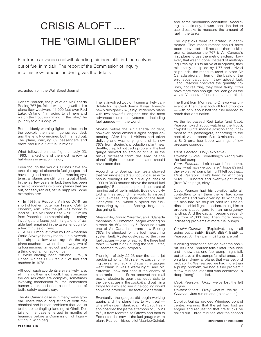# CRISIS ALOFT .... THE "GIMLI GLIDER"

Electronic advances notwithstanding, airliners still find themselves out of fuel in midair. The report of the Commission of Inquiry into this now-famous incident gives the details.

extracted from the Wall Street Journal

Robert Pearson, the pilot of an Air Canada Boeing 767 jet, felt all was going well as his plane flew westward 41,000 feet over Red Lake, Ontario. "I'm going to sit here and watch the trout swimming in the lake," he jokingly told his co-pilot.

But suddenly warning lights blinked on in the cockpit, then alarm gongs sounded, and the jet's two engines both flamed out. The plane, carrying 69 passengers and crew, had run out of fuel in midair.

What followed on that flight on July 23, 1983, marked one of the most harrowing half-hours in aviation history.

Even though the world's airlines have entered the age of electronic fuel gauges and have long had redundant fuel warning systems, airplanes are still running out of fuel. In the last few years, in fact, there has been a rash of incidents involving planes that ran out, or nearly ran out, of fuel supplies. Some examples are:

• In 1983, a Republic Airlines DC-9 ran short of fuel en route from Fresno, Calif. to Phoenix, Ariz. After the jet was forced to land at Luke Air Force Base, Ariz., 25 miles from Phoenix's commercial airport, safety investigators found just fifty gallons of usable fuel remained in the tanks, enough for a few minutes of flying.

• A 747 jumbo jet flown by Pan American World Airways barely made it into Newark, N.J. airport a few years ago. As the big plane touched down on the runway, two of its four engines flamed out, and on a taxiway a third died, all for lack of fuel.

• While circling near Portland, Ore., a United Airlines DC-8 ran out of fuel and crashed in 1978.

Although such accidents are relatively rare, eliminating them is difficult. That is because the causes often are complex, sometimes involving mechanical failures, sometimes human faults, and often a combination of both, safety experts say.

The Air Canada case is in many ways typical. There was a long string of both mechanical and human problems that led up to the spine-tingling landing at Gimli. Details of the case emerged in months of hearings before a Commission of Inquiry sitting in Winnipeg.

The jet involved wouldn't seem a likely candidate for the Gimli drama. It was Boeing's newly designed 767, a big, widebody plane with two powerful engines and the most advanced electronic systems — including fuel gauges — in the world.

Months before the Air Canada incident, however, some ominous signs began appearing. After United Airlines had taken delivery and was ferrying one of its new 767s from Boeing's production plant near Seattle, the pilot noticed a problem. The fuel gauge showed an amount of fuel in the tanks different from the amount the plane's flight computer calculated should have been there.

According to Boeing, later tests showed that "an undetected fault could cause erroneous readings (in 767 fuel gauges) of 1000 to 3400 pounds above the actual fuel quantity." Because that posed the threat of running out of fuel in midair, Boeing quickly told airlines around the world to inspect 767 fuel-measuring systems for the fault. Honeywell Inc., which supplied the fuelmeasuring system to Boeing, began redesigning it.

Meanwhile, Conrad Yaremko, an Air Canada mechanic in Edmonton, began working on aircraft No. 604 on July 5. Because it was one of Air Canada's brand-new Boeing 767s, he checked for the fuel measuring system fault. Mysteriously, each of the three fuel gauges — one for each of the three fuel tanks — went blank during the test. Later, all seemed to work properly.

The night of July 22-23 saw the same jet back in Edmonton. Mr. Yaremko was performing the same check, and again the gauges went blank. It was a warm night, and Mr. Yaremko knew that heat is the enemy of electronic circuits. So he removed the small box of electronic gear that feeds data to the fuel gauges in the cockpit and put it in a fridge for a while to see if the cooling would solve the problem. The tactic didn't work.

Eventually, the gauges did begin working again, and the plane flew to Montreal where they went blank again. As Capt. Pearson boarded the jet the afternoon of July 23 to fly it from Montreal to Ottawa and then to Edmonton, he saw all the fuel gauges were blank. Pearson, his co-pilot Maurice Quintal,

and some mechanics consulted. According to testimony, it was then decided to use dipsticks to measure the amount of fuel in the tanks.

The dipsticks were calibrated in centimetres. That measurement should have been converted to litres and then to kilograms, because the 767 is Air Canada's first plane to use the metric system. However, that wasn't done. Instead of multiplying litres by 0.8 to arrive at kilograms, they mistakenly multiplied by 1.77 and arrived at pounds, the measure used in other Air Canada aircraft. Then on the basis of the erroneous calculation, they added fuel. Capt. Pearson checked the quantity figures, not realizing they were faulty. "You have more than enough. You can go all the way to Vancouver," one mechanic replied.

The flight from Montreal to Ottawa was uneventful. Then the jet took off for Edmonton — with only about half the fuel needed to reach that destination.

As the jet passed Red Lake (and Capt. Pearson joked about watching the trout), co-pilot Quintal made a position announcement to the passengers, according to the cockpit voice record. But 10 minutes later, at 8:10 pm., four beep warnings of low pressure sounded.

Capt. Pearson: Holy (expletive)!

Co-pilot Quintal: Something's wrong with the fuel pump ...

Capt. Pearson: Left-forward fuel pump, okay, what have we got here? I hope it's just the (expletive) pump failing, I'll tell you that... Capt. Pearson: Let's head for Winnipeg NOW ... Hundred and twenty-eight miles (from Winnipeg), okay ...

Capt. Pearson had his co-pilot radio air controllers to tell them the jet had some problems and was diverting to Winnipeg. He also had his co-pilot brief Mr. Desjardins, the chief flight attendant, telling him to prepare passengers for an emergency landing. And the captain began descending from 41,000 feet. Then more beeps, indicating problems at more fuel pumps.

Co-pilot Quintal: (Expletive), they're all going out... BEEP, BEEP, BEEP, BEEP ... Pearson: All the (warning) lights are on!

A chilling conviction settled over the cockpit. As Capt. Pearson tells it later, "Maurice and I knew that one fuel pump might fail, but to have all the pumps fail all at once, and on a brand-new airplane, that was beyond probability. We realized we had more than a pump problem, we had a fuel problem." A few minutes later that was confirmed: a deep "bong" sounded.

Capt. Pearson: Okay, we've lost the left engine.

Co-pilot Quintal: Okay, what will we do ...? Pearson: Just run on one (to save fuel).

Co-pilot Quintal radioed Winnipeg control centre, warning that the jet had lost an engine and requesting that fire trucks be called out. Three minutes later the second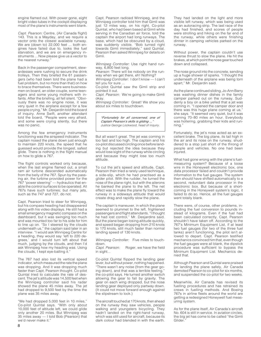engine flamed out. With power gone, eight bright video tubes in the cockpit displaying most of the plane's instruments went blank.

Capt. Pearson: Centre, (Air Canada flight) 143. This is a Mayday, and we require a vector onto the closest available runway. We are (down to) 22,000 feet ... both engines have failed due to, looks like fuel starvation, and we are on emergency instruments ... Now please give us a vector to the nearest runway."

Back in the passenger compartment, stewardesses were rushing to secure the drink trolleys. Then they briefed the 61 passengers (who had been told the plane had a fuel problem, but no more than that) on how to brace themselves. There were businessmen on board, an older couple, some teenagers and some young mothers with infants. After the briefing, all fell silent. "Obviously there was no engine noise, it was very quiet in the airplane except for a few people crying," Mr. Desjardin told the board of inquiry. Anne Swift, another attendant told the board, "People were very afraid, and some were crying silently, but there was no panic.

Among the few emergency instruments functioning was the airspeed indicator. The captain nosed the plane down just enough to maintain 220 knots, the speed that he guessed would provide the longest, safest glide. There is nothing in the flight manual on how to glide a 767.

The flight controls worked only because, when the last engine flamed out, a small ram air turbine descended automatically from the belly of the 767. Spun by the passing air, the turbine provided power for the 767 "power steering" — hydraulics that enable the control surfaces to be operated. All 767s have such turbines; but many jets, such as the 747 and 727, do not.

Capt. Pearson tried to steer for Winnipeg, but his compass heading had disappeared along with his video displays. He still had a small emergency magnetic compass on the dashboard, but it was swinging too much and was mounted too far to his side for him to line up on. "So I steered by the clouds underneath us," the captain said later in an interview. "I would ask Winnipeg Centre for a heading, they would say 'left to 220 degrees,' and I would turn left about that much, judging by the clouds, and then I'd ask Winnipeg how my heading was. Using the clouds, I kept eye-balling it."

The 767 had also lost its vertical speed indicator, which measured the rate the plane was dropping. And it was dropping much faster than Capt. Pearson thought. Co-pilot Quintal tried to calculate the rate of descent. The jet's altitude was 14,500 feet when the Winnipeg controller said his radar showed the plane 45 miles away. The jet had dropped to 9,500 feet by the time the plane was 35 miles away.

"We had dropped 5,000 feet in 10 miles," Co-pilot Quintal says. "With only about 10,000 feet of altitude left, we could glide only another 20 miles. But Winnipeg was 35 miles away — I told Bob (Pearson) that we'd never make it."

Capt. Pearson radioed Winnipeg, and the Winnipeg controller told him that Gimli was just 12 miles way, on his right. Co-pilot Quintal, who had been based at Gimli while serving in the Canadian air force, told the captain the airport had long runways. The base, which had be obscured by a cloud, was suddenly visible. "Bob turned right towards Gimli immediately," said Quintal. Pearson then asked Winnipeg for details on Gimli.

Winnipeg Controller: Use right hand runway, 6,800 feet long.

Pearson: There will be nobody on the runway when we get there, eh! Nothing?

Winnipeg Controller: I don't know - I can't tell you for sure ...

Co-pilot Quintal saw the Gimli strip and pointed it out.

Capt. Pearson: We're going to make Gimli okay.

Winnipeg Controller: Great! We show you about six miles to touchdown.

"Fortunately for all concerned, one of Captain Pearson's skills is gliding ..." Justice George Lockwood, head of inquiry.

But all wasn't great. The jet was coming in too fast and too high. The captain and his co-pilot discussed circling once before landing but rejected the idea because they would lose sight of the runway while circling and because they might lose too much altitude.

To cut the jet's speed and altitude, Capt. Pearson then tried a rarely used technique, a side-slip, which he had practised as a glider pilot. With the rudder, he turned the nose of the plane right, but with the ailerons he banked the plane to the left. The net effect was to make the plane fly toward the runway in a sideways attitude that would create drag and rapidly slow the plane.

The captain's maneuver, in which the plane seemed to plummet to the left, frightened passengers and flight attendants. "I thought he had lost control," Mr. Desjardins said. But the plane began losing altitude quickly, and speed began dropping from 210 knots to 170 knots, still much faster than normal landing speed of 130 knots.

Winnipeg Controller: Five miles to touchdown.<br>Capt. Pearson:

Roger, we have the field in sight...

Co-pilot Quintal flipped the landing gear lever, but without power, nothing happened. "There wasn't any noise (from the gear going down), and that was a terrible feeling," the co-pilot says. He turned another switch allowing the gear to fall by gravity. The gear on each wing dropped, but the nose landing gear deployed only partway down. (It could not move forward enough against the slipstream to lock.)

The aircraft touched at 170 knots, then ahead on the runway they saw vehicles, people walking and youngsters bicycling. They hadn't landed on the right-hand runway, which was still used for aircraft, because its dark colour had blended in with the earth. They had landed on the light and more visible left runway, which was being used as an autoracing strip. The last race of the day had finished, and scores of people were strolling and hiking on the far end of the runway, while others were finishing dinner in camping vehicles parked on the runway.

Without power, the captain couldn't use reverse thrust to slow the plane. He hit the brakes, at which point the nose gear touched down and collapsed.

The nose ground into the concrete, sending up a huge shower of sparks. "I thought the underneath of the airplane was being torn apart," Mr. Desjardin said.

As the plane continued sliding, Jo-Ann Barry was washing dinner dishes in the family camper parked out on the runway. Suddenly a boy on a bike yelled that a jet was coming in. "I opened the camper door and there was this huge plane coming at us," she says. "It seemed very quiet, but it was coming 70–80 miles an hour. Everybody was hollering, grabbing their kids and running."

Fortunately, the jet's nose acted as an excellent brake. The big plane, its tail high in the air and its nose on the runway, shuddered to a stop just short of the throng of people and vehicles. No one had been injured.

What had gone wrong with the plane's fuelmeasuring system? Because of a loose wire in the Honeywell electronic box, one data processor failed and couldn't provide information to the fuel gauges. The system then should have shifted automatically to a second, redundant data processor in the electronic box. But because of a shortcoming in the Honeywell system's logic, it failed to do so. Hence, all the fuel gauges went totally blank.

There were, of course, other problems, including the fuel conversion to pounds instead of kilograms. Even if the fuel had been calculated correctly, Capt. Pearson shouldn't have taken off. According to the 767's Minimum Equipment List, if at least two fuel gauges (for two of the three fuel tanks) aren't functioning, the pilot isn't allowed to depart. Capt. Pearson testified mechanics convinced him that, even though the fuel gauges were all blank, the dipstick procedure was sufficient to bypass the Minimum Equipment List. Mechanics denied that.

Although Pearson and Quintal were praised for landing the plane safely, Air Canada demoted Pearson to co-pilot for six months, and suspended the co-pilot for two weeks.

Meanwhile, Air Canada has revised its fuelling procedures and has retrained its crews in fuelling methods. And Boeing 767s in airline fleets around the world are getting a redesigned Honeywell fuel measuring system.

As for the plane itself, Air Canada's aircraft No. 604 is still in service. In aviation circles, the big jet has come to be called "the Gimli Glider<sup>1</sup>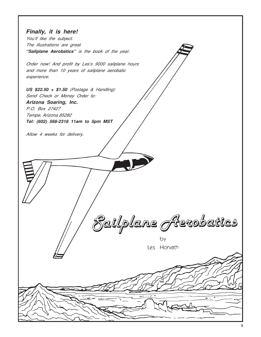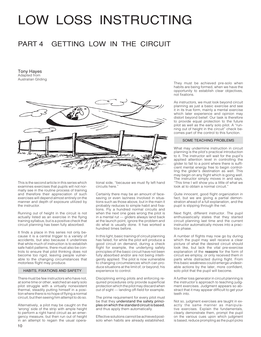# LOW LOSS INSTRUCTING

### PART 4 GETTING LOW IN THE CIRCUIT

Tony Hayes Adapted from Australian Gliding



This is the second article in this series which examines exercises that pupils will not normally see in the routine process of training and therefore their appreciation of such exercises will depend almost entirely on the manner and depth of exposure utilized by the instructor.

Running out of height in the circuit is not actually listed as an exercise in the flying training syllabus, but is a positive check that circuit planning has been fully absorbed.

It finds a place in this series not only because it is a central trigger to a variety of accidents, but also because it underlines that while much of instruction is to establish safe habit patterns, there must also be controls to ensure that pilot thinking does not become too rigid, leaving people vulnerable to the changing circumstances that motorless flight may produce.

### HABITS, FIXATIONS AND SAFETY

There must be few instructors who have not, at some time or other, watched an early solo pilot struggle with a virtually nonexistent thermal, steadily putting himself in a position where there is no hope of flying a normal circuit, but then seeing him attempt to do so.

Alternatively, a pilot may be caught on the 'wrong' side of the strip with ample height to perform a right hand circuit as an emergency measure, but then run out of height in an attempt to regain the usual operational side, "because we must fly left hand circuits here."

Certainly there may be an amount of facesaving or even laziness involved in situations such as those above, but in the main it probably reduces to simple habit and fixations. Fly a hundred normal circuits and when the next one goes wrong the pilot is in a mental rut — gliders always land back at the launch point, ignore the problem and do what is usually done. It has worked a hundred times before.

In this light, basic training of circuit planning has failed, for while the pilot will produce a good circuit on demand, during a check flight for example, the underlying safety principles of the basic circuit have not been fully absorbed and/or are not being intelligently applied. The pilot is now vulnerable to changing circumstances which can produce situations at the limit of, or beyond, his experience to control.

Disciplining erring pilots and enforcing required procedures only provide superficial protection which the pilot may discard when out of sight — landing off-field for example.

The prime requirement for every pilot must be that they understand the safety principles on which the standard circuit is based, and thus apply them automatically.

Effective solutions cannot be achieved postsolo when habits are already established.

They must be achieved pre-solo when habits are being formed, when we have the opportunity to establish clear objectives, not fixations.

As instructors, we must look beyond circuit planning as just a basic exercise and see it in its true form, mainly a mental exercise which later experience and opinion may distort beyond belief. Our task is therefore to provide equal protection to the future pilot as well as the early solo pilot. A "running out of height in the circuit" check becomes part of the control to this function.

### SOME TEACHING PROBLEMS

What may undermine instruction in circuit planning is the pilot's practical introduction to it. The instructor will wait for the pupil's applied attention level in controlling the glider to fall to a point where there is sufficient mental energy free to begin controlling the glider's destination as well. This may begin on any flight which is going well. The instructor simply moves in and says, "This time I will show you a little of what we look at to obtain a normal circuit."

Quite innocent, good flight organization in fact, but we are giving a partial demonstration ahead of a full explanation, and the pupil is slipping through the net.

Next flight, different instructor. The pupil enthusiastically states that they started circuit planning last time and the current instructor automatically moves into a practice phase.

A number of flights may now go by during which the pupil may well receive a clear picture of what the desired circuit should look like, but lack the vital pre-exercise explanation of the reasons for the form of circuit we employ, or only received them in parts while distracted during flight. From this basic weakness could emerge undesirable actions by the later, more confident, solo pilot that the pupil will become.

A further loss generator in circuit planning is the instructor's approach to teaching judgment exercises. Judgment appears so abstract that it may appear difficult to get your teeth into.

Not so, judgment exercises are taught in exactly the same manner as manipulative exercises. Explain the fundamentals, clearly demonstrate them, prompt the pupil on the various cues upon which judgment is based, reduce prompting as the pupil picks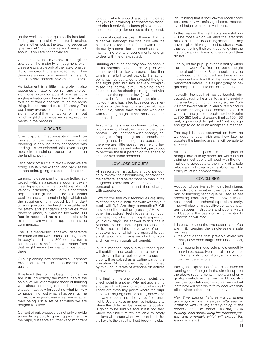up the workload, then quietly slip into faultfinding as responsibility transfer is ending. Take another look at the teaching sequence given in Part 1 of this series and have a think about it if you are not convinced.

Unfortunately, unless you have a motorglider available, the majority of judgment exercises are available only at the rate of one per flight one circuit, one approach, etc. They therefore spread over several flights and, in a club environment, several instructors.

As judgment is a little intangible, it also becomes a matter of opinion and expression: one instructor puts it over as pure angle evaluation, another as height/distance to a point from a position. Much the same thing, but expressed quite differently. The pupil may average out the various expressions into a skill which works for him, but which might dilute perceived safety requirements in the process.

### **CIRCUITS**

One popular misconception must be banged on the head right away: circuit planning is only indirectly connected with landing at a pre-selected point, even though most circuit training appears to focus on the landing point.

Let's back off a little to review what we are doing. Usually we wish to land back at the launch point, going in a certain direction.

Landing is dependent on a controlled approach which is a separate judgment exercise dependent on the conditions of wind velocity, gradients, etc. To fly a controlled approach the glider must be at a certain position and at a certain height which suit the requirements imposed by the day/ time in question. The height is established by safety and standards and varies from place to place, but around the world 300 feet is accepted as a reasonable safe minimum from which an approach may be commenced.

The usual mental sequence would therefore be much as follows: I intend landing there. In today's conditions a 300 foot final turn is suitable and a half brake approach from that height means the final turn must occur there.

Circuit planning now becomes a judgment/ prediction exercise to reach the final turn position.

If we teach this from the beginning, then we are instilling exactly the mental habits the solo pilot will later require those of thinking well ahead of the glider and its current situation, actively forecasting what is likely to happen, not just what is happening. The circuit now begins to make real sense rather than being just a set of activities we are obliged to follow.

Current circuit procedures not only provide a simple support to growing judgment by the pupil, but serve a further very important function which should also be indicated early in circuit training. That is that the standard circuit actively reduces pilot work load the closer the glider comes to the ground.

In normal situations this will mean that the glider will intercept the final turn with the pilot in a relaxed frame of mind with little to do but fly a controlled approach and land, maintaining plenty of spare mental energy to deal with the unexpected.

Running out of height may now be seen in all its potential seriousness. A pilot who comes skidding slowly around a low final turn in an effort to get back to the launch point has not just failed to predict the glider's flight path but has actively compromised the normal circuit rejoining point, failed to use the check point, ignored vital actions as the speed is low (in what condition are the flaps, undercarriage, trim and lookout?) and has failed to use correct interception of the final turn as the ultimate check. So, rather than reduced workload with reducing height, it has probably been increased.

Assuming the glider continues to fly, the pilot is now totally at the mercy of the unexpected — an unnoticed wind change, another glider 'appearing' on approach, the landing area becoming obstructed, and there we are: little speed, less height, few personal reserves and potentially just about to become the first person on the scene of another avoidable accident.

### LOW LOSS CIRCUITS

All reasonable instructors should periodically review their techniques, considering their effects, and never more so than in the judgment exercises which have such a personal presentation and thus change with experience.

How do you feel your techniques are likely to effect the next instructor with whom your pupil will fly? Are they compatible? Will they keep the pupil progressing? How do other instructors' techniques affect your own teaching when their pupils appear on your duty day? The answer to this one is Standardization. There is just no substitute for it. It required the active work of an instructors' panel which is prepared to establish a common basis on which to work and from which pupils will benefit.

In this manner, basic circuit techniques will stabilize and weak areas, either in an individual pilot or collectively across the club, will be solved as a routine part of the operation. Minor losses may be trimmed by thinking in terms of exercise objectives and work organization.

The final turn is one prediction point, the check point is another. Why not add a third and use a fixed training rejoin point as well? These are three key points where the pupil may exercise judgment, so putting him well on the way to obtaining triple value from each flight. Use the keys as positive indicators to where the glider will be, whether its position is going to be suitable and, if it is not, then where the final turn we are able to safely achieve will dictate where we must land. Use the keys to the circuit without becoming slavish, thinking that if they always reach those positions they will safely get home, irrespective of height or airmass variations.

In this manner the first habits we establish will be those which will alert the later solo pilot to situations becoming abnormal. They have a pilot thinking ahead to alternatives, thus controlling their workload, or giving the instructor a valid basis for discussion if they do not.

Finally, let the pupil prove this ability within the framework of a "running out of height in the circuit" check. Such checks may be introduced unannounced as there is no component involved that the pupil has not performed before. It is all just going to begin happening a little earlier than usual.

Typically, the pupil will be deliberately distracted, causing the glider to transit the rejoining area low, but not obviously so; say 150- 200 feet lower than usual and a little closer in to make the angle look comfortable. This would put the glider through the check point at 300-350 feet and around final at 100-150 feet, high enough to 'get back' but not high enough to do so in an acceptable manner.

The pupil is then observed on how the workload is dealt with and how late he updates the landing area he will be able to achieve.

All pupils should pass this check prior to being allowed to fly alone, for while late in training most pupils will deal with the normal quite adequately, the mark of a solo pilot is ability to deal with the abnormal. This ability must be demonstrated.

### **CONCLUSION**

Adoption of positive fault-finding techniques by instructors, whether they be a routine part of teaching technique or used as set checking exercises, will uncover weaknesses and comprehension problems early. They will also form a positive behaviour pattern between instructors and pupils which will become the basis on which post-solo supervision will rest.

It is easy to keep the two-seater safe. You are in it. Keeping the single-seaters safe requires:

- the confidence that pre-solo exercises really have been taught and understood, and
- the means to move solo pilots smoothly back into a receptive frame of mind wherein further instruction, if only a comment or two, will be effective.

Intelligent application of exercises such as running out of height in the circuit support the above requirements. They are not only quality controls in their own right but also form the foundations on which an individual instructor will be able to fairly deal with solo pilots whom other instructors have trained.

Next time, Launch Failures – a consistent and major accident area year after year. In common with Stalling and Spinning in the series, attention will focus on the purpose of training, thus determining instructional pattern and emphasis which will protect the future solo pilot future solo pilot.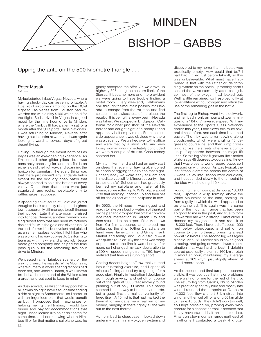

### Upping the ante on the 500 kilometre triangle . . .

### Peter Masak

SAGA

My luck started in Las Vegas, Nevada, where having a lucky day can be very profitable. A little bit of airborne gambling on the DC-9 flight to Las Vegas from Houston had rewarded me with a nifty \$100 which paid for the flight. So I arrived in Vegas in a good mood for the nine hour drive to Minden, where the Nimbus III had patiently sat for a month after the US Sports Class Nationals. I was returning to Minden, Nevada after having put in a stint at work, and was again looking forward to several days of great desert flying.

Driving up through the desert north of Las Vegas was an eye-opening experience. As I'm sure all other glider pilots do, I was constantly checking for landable fields on either side of the highway, and scanning the horizon for cumulus. The scary thing was that there just weren't any landable fields except for the odd dry open patch that always seemed to be at the bottom of every valley. Other than that, there were just sagebrush and rocks, hospitable only to rattlesnakes I suppose.

A speeding ticket south of Goldfield jarred thoughts back to reality (the pseudo ghost towns apparently still manage to self-finance their police). Late that afternoon I cruised into Tonopa, Nevada, another formerly bustling desert town that had seen its fortunes rise and fall with the gold and silver rush. At the end of town I felt benevolent and picked up a rather hapless looking hitchhiker who was working his way out west to California to team up with his wife and a new job. Jesse made good company and helped the time pass quickly for the remaining five hour drive to Minden.

We passed rather fabulous scenery on the way northwest: the majestic White Mountains, where numerous world soaring records had been set, and Janie's Ranch, a well-known brothel at the north end of the Whites (also a great land-out spot to keep in mind).

As dusk arrived, I realized that my poor hitchhiker was going to have a tough time finding a ride at night to Sacramento, so I came up with an ingenious plan that would benefit us both. I proposed that in exchange for helping me rig the Nimbus, I would buy dinner and pay for accommodations that night. Jesse looked like he hadn't eaten for some time, and not knowing what a Nimbus III or for that matter a sailplane was, he

gladly accepted the offer. As we drove up highway 395 along the eastern flank of the Sierras, it became more and more evident we were going to have trouble finding a motel room. Every weekend, Californians spill through the mountain passes into Nevada to escape from the rat race and find solace in the lawlessness of the place, the result of this being that every bed in Nevada was taken. We stopped in Bridgeport, California for dinner just short of the Nevada border and caught sight of a poorly lit and apparently half empty motel. From the outside appearance it was obvious why there was a vacancy. We walked over to the office and were met by a short, old, and very bossy woman who immediately concluded we were a couple of drunks. Cash money soothed her.

My hitchhiker friend and I got an early start on sleep that evening, having abandoned all hopes of rigging the airplane that night. Consequently we woke early at 6 am and immediately set off for Minden, seventy miles to the north. Wil Schuemann had graciously berthed my sailplane and trailer at his house, so we rolled up to Wil's place about 7:30 that morning, hitched up and then set off for the airport with the sailplane in tow.

By 0900, the Nimbus III was rigged and ready to take on a load of water, so I thanked my helper and dropped him off at a convenient road intersection in Carson City and then returned to the airport. Rick Matthews from Cu Nim appeared and helped me ballast up the ship. (Other Canadians on hand were Rainer Zimm and Ginny, Frank Markut and family, and Doug Stroud — it was quite a reunion!) By the time I was ready to push out to the line it was shortly after noon, so I changed my task declaration to a 500 km speed triangle from a 750, having realized that time was running short.

Getting decent height off tow really turned into a frustrating exercise, and I spent 45 minutes flailing around try to get high for a good start. Finally in frustration I decided to go through anyway, and set off on course out of the gate at 5000 feet above ground pushing out at only 90 knots. This hardly seemed like the way to break any records, but a good first thermal conveniently offered itself. A 15m ship that had marked the thermal for me gave me a real run for my money, hanging in there tightly all the way out to the next thermal.

As I climbed to cloudbase, I looked down under my left arm at my oxygen system and

discovered to my horror that the bottle was practically empty. How could that be? I had had it filled just before takeoff, so this was unbelievable. What must have happened is that with the rather crude throttling system on the bottle, I probably hadn't seated the valve stem fully after testing it, so most of the oxygen had leaked out. Well, a little remained, so l resolved to fly at lower altitude without oxygen and ration the use of the remaining gas in the bottle.

The first leg to Bishop went like clockwork, and I arrived in only an hour and twenty minutes for a 164 km/h average speed. With my experience at the Sports Class Nationals earlier this year, I had flown this route several times before, and each time it seemed easier. The trick was to run upwind along cloudstreets, which were angling 45 degrees to courseline, and then jump crosswind across the streets whenever a cumulus puff appeared between the major lift lines. So this leg of the flight was like a series of zig-zags 45 degrees to courseline. I knew that I was close to world record pace, so I pressed on with vigour. As was typical, the last fifteen kilometres across the centre of Owens Valley into Bishop were cloudless, and I descended slowly to the turnpoint in the blue while holding 110 knots.

Rounding the turnpoint at Bishop at 13,000 feet, I spotted a wisp forming above the White Mountains to the east, coming up from a gully in which the wind appeared to be channelled. This again was the same part of the mountain range that had been so good to me in the past, and true to form it rewarded me with a strong 7 knot climb. I donned my oxygen mask and rode it to 18,000 feet. There I levelled off about 1000 feet below cloudbase, and set off on course to the northeast, pressing ahead now at 120 knots. The second leg was again classic. About 3-4 tenths cloud cover, good streeting, and going downwind was a combination that was hard to beat. I dolphin soared practically the entire 160 km stretch in about an hour, maintaining my average speed at 163 km/h, just slightly ahead of world record pace.

As the second and final turnpoint became visible, it was obvious that major problems were waiting for me for the rest of the trip. The return leg from Gabbs, NV to Minden was practically entirely blue and mostly into wind. I rounded the turnpoint at Gabbs at 14,000 feet, flew a short 8 km street into wind, and then set off for a long 50 km glide to the next clouds. They didn't work too well, so I kept pressing on, probing every wisp enroute for a decent thermal. It seemed that I may have started half an hour too late. Finally on a low mountain range northeast of Hawthorne I contacted a weak 4 knotter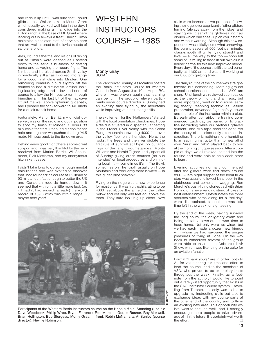and rode it up until I was sure that I could glide across Walker Lake to Mount Grant which usually worked well late in the day. I considered making a final glide into the Hilton ranch at the base of Mt. Grant where landing out is always a treat. Barron Hilton maintains a skeleton staff of servants here that are well attuned to the lavish needs of sailplane pilots.

Alas, I found a thermal and visions of dining out at Hilton's were dashed as I settled down to the serious business of getting home and salvaging the record flight. The Nimbus and I cruised across Smith valley in practically still air as I worked into range for a good final glide into Minden. One remaining cumulus cloud slightly off the courseline had a distinctive laminar looking leading edge, and I deviated north of course to allow the Nimbus to run through friendlier air. This last bit of thermal/wave lift put me well above optimum glidepath, and I pushed the stick forward to 140 knots for a quick transit home.

Fortunately, Marion Barritt, my official observer, was on the radio and got in position to spot my finish at Minden, 3 hours 33 minutes after start. I thanked Marion for her help and together we pushed the big 24.5 metre Nimbus back to the tie-down area.

Behind every good flight there's some great support and I was very thankful for the help received from Marion Barritt, Wil Schuemann, Rick Matthews, and my anonymous hitchhiker, Jesse.

 $\Box$ I didn't take long to do some rough mental calculations and was excited to discover that I had rounded the course at 150 km/h or 93 miles/hour, fast enough to better the US and Canadian records hands down. It seemed that with only a little more luck (as if I hadn't had enough already) the world record of 159.6 km/h was within range ... maybe next year!

### WESTERN **INSTRUCTORS** COURSE – 1985

### Monty Gray SOSA

The Vancouver Soaring Association hosted the Basic Instructors Course for western Canada from August 3 to 10 at Hope, BC, where it was proven again that learning can be fun. The group of eleven participants under course director Al Sunley had an exciting time flying by the mountains while improving our instructing skills.

The excitement for the "Flatlanders" started with the local orientation checkrides. Hope airfield is situated in a spectacular setting in the Fraser River Valley with the Coast Range mountains towering 4000 feet over the valley floor on either side. Here, the rocks, the trees and the river dictate the first rule of survival at Hope: no outlandings under any circumstances. Monty Williams and Harald Tilgner kindly spent all of Sunday giving crash courses (no pun intended) on local procedures and on finding local lift — sometimes it's in The Bowl, sometimes on The Knoll, usually on Hope Mountain and frequently there is wave — is this glider pilot heaven?

Flying on the ridge was a new experience for most of us. It was truly exhilarating to be 4000 feet above the airfield in the valley below and yet only 400 feet agl above the trees. They sure look big up close. New



Participants of the Western Basic Instructors course on the Hope airfield. Standing (I. to r.): Dave Woodcock, Phillip Wroe, Bryan Florence, Ron Murchie, Gerald Rosner, Ray Maxwell, Brian Hollington, Bob Sturgess. Monty Gray. In front: Robin McNamara, Al Sunley (course director), Neville Robinson.

skills were learned as we practised following the ridge, ever cognizant of other gliders turning (always away from the ridge) and staying well clear of the glider-eating cap clouds which can sneak up on you instantly and without warning. Although this new experience was initially somewhat unnerving, the pure pleasure of 500 foot per minute, glass-smooth lift while flying straight and  $\frac{1}{2}$  level — all the way to the top — soon left some of us willing to trade in our own club's house thermal for this new, improved model. Every day of the course the lift started punctually at 11:00 am and was still working at our 8:00 pm quitting time.

The daily routine of the course was straightforward but demanding. Morning ground school sessions commenced at 8:00 am sharp. Until lunch we reviewed such basics as the theory of flight and air regs, but more importantly went on to discuss learning theory, teaching techniques, lesson preparation, advanced flight safety issues and the role of the instructor within a club. By early afternoon airborne training commenced. Each day we paired off to practise instructing while our partners "played student" and Al's tape recorder captured the beauty of our eloquently executed instruction. There is nothing more humbling to an aspiring instructor than to hear all of your "urrs" and "ahs" played back to you at the morning critique session. After a couple of days we all relaxed, settled into the routine and were able to help each other to learn.

Evening activities normally commenced after the gliders were tied down around 8:00. A late night supper at the local truck stop was usually followed by a beer in the clubhouse and some chin-wagging. Ron Murchie's bush-flying stories tied with Brian Hollington's never-ending string of jokes for best entertainment. Unfortunately the three spouses who came along for a "holiday" were disappointed, since there was little time left in the week for sightseeing.

By the end of the week, having survived the long hours, the obligatory exam and being suitably flown-out, it was time to head home. Not only were we wiser, but we had each made a dozen new friends with whom we had savoured the unique pleasures of flying at Hope. On the way back to Vancouver several of the group were able to take in the Abbotsford Air Show, which was like icing on the cake for an aviation fanatic.

Formal "Thank you's" are in order; both to Al, for volunteering his time and effort to lead the course, and to the members of VSA, who proved to be exemplary hosts throughout the week. Finally, as a footnote from the author, I would like to point out a rarely-used opportunity that exists in the SAC Instructor Course system. Travelling from Toronto, not only was I able to upgrade my instructing skills but also to exchange ideas with my counterparts at the other end of the country and to fly in an exciting new area. This opportunity exists west-to-east as well, and I strongly encourage more people to take advantage of it in the future. It is certainly well worth<br>the effort the effort.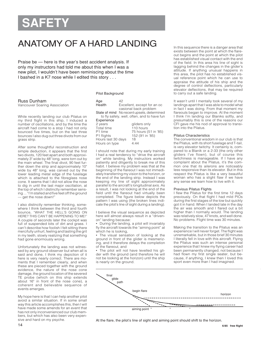# **SAFET**

### ANATOMY OF A HARD LANDING

Praise be — here is the year's best accident analysis. If only my instructors had told me about this when I was a new pilot, I wouldn't have been reminiscing about the time I bashed in a K7 nose while I edited this story . . .

### Russ Dunham

Vancouver Soaring Association

While recently landing our club Pilatus on my third flight in this ship, I induced a number of oscillations, and by the time the aircraft had come to a stop I had not only bounced five times, but on the last three bounces I also dug out three divots from our grass strip.

After some thoughtful reconstruction and simple deduction, it appears that the first two divots, 120 feet apart and both approximately 3" wide by 48" long, were torn out by the main wheel. The final divot, 90 feet further down the strip and approximately 10" wide by 48" long, was carved out by the lower leading metal edge of the fuselage which is attached to the fibreglass nose cone. It seems that I did not allow the nose to dig in until the last major oscillation, at the top of which I distinctly remember sensing ... "I'm stalled and five feet off the ground — get the nose down!"

I also distinctly remember thinking, somewhere I think between the third and fourth bounce, "WHAT THE HELL'S GOING ON HERE? THIS CAN'T BE HAPPENING TO ME!" A couple of seconds later the cockpit was full of suspended bits of dirt and grass. I can't describe how foolish I felt sitting there mercifully unhurt, feeling and tasting the grit in my teeth, slowly realizing that something had gone enormously wrong.

Unfortunately the landing was not witnessed by any ground observer but when all is said and done, I think my depiction of it here is very nearly correct. There are moments that I remember clearly, and when these are pieced together with the ground evidence, the nature of the nose cone damage, the ground location of the severed TE probe (which on this ship extends about 16" in front of the nose cone), a coherent and believable sequence of events emerges.

My hope here is that I can help another pilot avoid a similar situation. If in some small way this article accomplishes this, then I will have made some amends for an event that has not only inconvenienced our club members, but which has also been very expensive and hard on my psyche.

### Pilot Background

| Age                | 42                                                   |  |  |  |
|--------------------|------------------------------------------------------|--|--|--|
| Health             | Excellent, except for an oc<br>casional back problem |  |  |  |
|                    | State of mind No recent upsets, determined           |  |  |  |
|                    | to fly safely, well, often, and to have fun          |  |  |  |
| Experience         |                                                      |  |  |  |
| 2 years            | gliders only                                         |  |  |  |
| Total time         | 110 hours                                            |  |  |  |
| P1 time            | 75 hours (51 in '85)                                 |  |  |  |
| P1 flights         | 152 (91 in '85)                                      |  |  |  |
| Hours last 30 days | 18                                                   |  |  |  |
| Hours on type      | 4:44                                                 |  |  |  |

I should note that during my early training I had a real tendency to "drive the aircraft on" while landing. My instructors worked patiently and diligently to break me of this habit. I believe my problem was that at the beginning of the flareout I was not immediately transferring my vision to the horizon, or the end of the landing strip. Instead I was keeping my line of sight approximately parallel to the aircraft's longitudinal axis. As a result, I was not looking at the end of the field until the flareout had virtually been completed. The figure below depicts the pattern I was using (the broken lines indicate the pilot's line of sight during a landing).

I believe the visual sequence as depicted here will almost always result in a "drivenon" landing because:

• During the landing, a pilot will invariably fly the aircraft towards the "aiming point" at which he is looking,

• The visual sensation of looking at the ground in front of the glider is mesmerizing, and it therefore delays the completion of the flareout, and

• The pilot will not have levelled his glider with the ground (and therefore he will not be looking at the horizon) until the ship is nearly on the ground.

In this sequence there is a danger area that exists between the point at which the flareout begins and the point at which the pilot has established visual contact with the end of the field. In this area his line of sight is lagging behind the changes in the glider's attitude. If anything unusual happens in this area, the pilot has no established visual reference point which he can use to appraise the attitude of his ship and the degree of control deflections, particularly elevator deflections, that may be required to carry out a safe landing.

It wasn't until I mentally took several of my landings apart that I was able to model what in fact I was doing. From that moment my flareouts began to improve. At the moment I think I'm landing our Blaniks softly, and presumably this is one of the reasons our CFI gave me his nod of approval to transition into the Pilatus.

### Pilatus Characteristics

The conventional wisdom in our club is that the Pilatus, with its short fuselage and T-tail, is very elevator twitchy. It certainly is, compared to a Blanik or a 2-33 (the only other gliders I've flown), but of course this twitchiness is manageable. If I have any complaint about the Pilatus, it's the common one that its ailerons are noticeably less responsive than its elevator. But in this respect the Pilatus is like a very beautiful woman who has a slight flaw if we have any sense we learn how to live with it.

### Previous Pilatus Flights

I flew the Pilatus for the first time 12 days previously. On that flight I had mild PIOs during the first stages of the tow but quickly got it in hand. When I landed late in the day the air was smooth and I flared out a bit higher than I normally would. The landing was relatively slow, 47 knots, and well done. No problems. Flight time was 30 minutes.

Making the transition to the Pilatus was an experience I will never forget. The flight was unremarkable, but in those brief 30 minutes I literally fell in love with this aircraft. Flying the Pilatus was such an intense personal experience that I knew my flying career had been permanently changed, not because I had flown my first single seater, but because, if anything, I knew then I loved this sport even more than I had imagined.



At the flare, the pilot's line of sight and aiming point should shift to the horizon.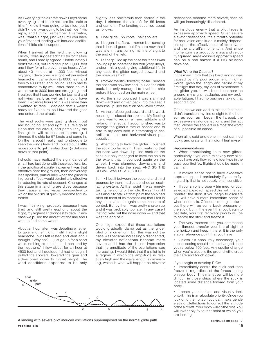As I was tying the aircraft down Lloyd came over, trying hard I think not to smile. I said to him, "I knew it was going to be nice, but I didn't know it was going to be that nice!" His reply, and I think I remember it verbatim, was, "that's alright, just wait until you have your first hard landing with induced oscillations!" Little did I suspect.

When I arrived at the field the following Friday, it was suggested that I try for the five hours, and I readily agreed. Unfortunately I didn't make it, but I did get up to 11,000 feet and I flew for a little over three hours. After about 40 minutes at 11,000 feet, without oxygen, I developed a slight but persistent headache. I came down to 8000 feet, and then to 4000 feet, and I found I really had to concentrate to fly well. After three hours I was down to 3000 feet and struggling, and I realized that I was working far too hard and not flying nearly as well as I should have been. Two more hours of this was more than I wanted to face. I decided that I wasn't ready for five hours, so I lowered the gear and entered the circuit.

The wind socks were gusting straight out and bouncing left and right, a sure sign at Hope that the circuit, and particularly the final glide, will at least be interesting. I trimmed the ship for 57 knots and came in. On the flareout I really had to struggle to keep the wings level and I pulled out a little more spoiler to get the ship down (a dubious move at that point).

I should have realized the significance of what I had just done with those spoilers, ie., if the additional spoiler increment was that effective near the ground, then conversely less spoilers, particularly when the glider is in ground effect, would be similarly effective in reducing its rate of descent. Changes at this stage in a landing are dicey because they cause a new visual perspective to which the pilot must quickly become accustomed.

I wasn't thinking, probably because I was tired and still pretty euphoric about the flight, my highest and longest to date. In any case we pulled the aircraft off the line and I went to find some water.

About an hour later I was debating whether to take another flight. I still had a slight headache, but I felt rested and alert and I thought, "Why not? ... just go up for a short while, nothing strenuous, and then land by the tiedowns." I flew about for an hour at 4500 feet and I decided I'd had enough. I pulled the spoilers, lowered the gear and side-slipped down to circuit height. The wind conditions appeared to be only slightly less boisterous than earlier in the day. I trimmed the aircraft for 55 knots and came in. The landing occurred about as follows:

a. Final glide...55 knots...half spoilers.

b. I began the flare. I remember sensing that it looked good, but I'm sure now that I was late in transitioning my line of sight to the end of the field.

c. I either pulled up the nose too far as I was looking up to locate the horizon (very likely), and/or I hit a gust, giving additional lift. In any case the glider surged upward and the nose was high.

d. I moved the stick forward; too far. I sensed the nose was now low and I pulled the stick back, but only managed to level the ship before it bounced on the main wheel.

e. As the ship bounced I was slammed downward and driven back into the seat. I presume I pulled the stick back even further.

f. As the craft surged upward and forward, nose high, I closed the spoilers. My fleeting intent was to regain a flying attitude and re-land. In effect all I accomplished was to change the glider's rate of ascent and to add to my confusion in attempting to establish a stable and horizontal visual perspective.

g. Attempting to level the glider, I pushed the stick too far again. Then, realizing that the nose was down, I pulled back on the stick but only managed to level the ship to the extent that it bounced again on the wheel. I was slammed downward and driven back into the seat, AND SO THE REGIME WAS ESTABLISHED!

I think I lost it between the second and third bounce; by then I had established an oscillating system. At that point it was merely taking me along for the ride. It wasn't until I was about to stall (at that point the ship had bled off most of its momentum) that I felt in any sense able to regain some measure of control. But by then I was pretty shaken up and it was probably too late. In any case I instinctively put the nose down — and that was the end of it.

One might expect that these oscillations would gradually damp out as the glider bled off momentum. But this was not the case. As I became increasingly disoriented, my elevator deflections became more severe and I had the distinct impression that the amplitude of the oscillations was increasing. I would think that if a pilot is in a regime in which the amplitude is relatively high and the wave length is diminishing, which is what will happen as elevator



**free flight 6/85** 15 A landing with severe pilot induced oscillations superimposed on the normal glide path.

deflections become more severe, then he will get increasingly disoriented.

An insidious enemy that a pilot faces is excessive approach speed. Given severe elevator deflections, the aircraft's potential for oscillation amplitude is mainly dependent upon the effectiveness of its elevator and the aircraft's momentum. And since momentum is a product of mass and velocity squared, any excessive approach speed can be a real hazard if a PIO situation develops.

#### What Were the Causes?

In the main I think that this hard landing was caused by my poor judgement. In other words, given the length and nature of my first flight that day, my lack of experience in this glider type, the wind conditions near the ground, my slight headache, and my probable fatigue, I had no business taking that second flight.

Of course we can add to this the fact that I didn't transition my line of sight to the horizon as soon as I began the flareout, the excessive elevator deflections, and the fact that I closed the spoilers in almost the worst of all possible situations.

When all is said and done I'm just damned lucky, and grateful, that I didn't hurt myself.

### Recommendations

When transitioning to a new glider, particularly if you are a relatively new pilot, or you have only flown one glider type in the past, your first few flights should be made in calm air.

It makes sense not to have excessive approach speed, particularly if you are flying a ship that is noticeably pitch sensitive.

If your ship is properly trimmed for your selected approach speed this will in effect "centre" the stick. If you begin to oscillate you will have a more immediate sense of where neutral is. Of course during the flareout there will be some back pressure on the stick, but in the event that you begin to oscillate, your first recovery priority will be to centre the stick and freeze it.

The very moment that you commence your flareout, transfer your line of sight to the horizon and keep it there. It is the only stable reference point that you have.

• Unless it's absolutely necessary, your spoiler setting should not be changed once you're below 100 feet. Any spoiler change when you're close to the ground will disrupt the flare and touch down.

### If you begin to develop PIOs:

Immediately centre the stick and then freeze it, regardless of the forces acting on your body. This maneuver will be more difficult in those ships where the stick is located some distance forward from your body.

Locate your horizon and visually lock onto it. This is an absolute priority. Once you lock onto the horizon you can make gentle elevator deflections to correct the attitude of the aircraft. Your body will do the rest. You will invariably fly to that point at which you are looking.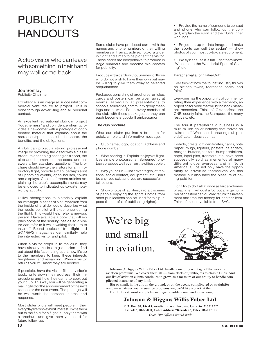### **PUBLICITY HANDOUTS**

A club visitor who can leave with something in their hand may well come back.

### Joe Somfay

Publicity Chairman

Excellence is an image all successful commercial ventures try to project. This is done through advertising and all personal contact.

An excellent recreational club can project "togetherness" and confidence when it provides a newcomer with a package of coordinated material that explains about the recreation/sport, the club, the costs, the benefits, and the obligations.

A club can project a strong professional image by providing the visitor with a classy brochure describing soaring as a sport, the club and its amenities, the costs, and answers a few standard questions. The brochure should invite the visitors for an introductory flight, provide a map, perhaps a list of upcoming events, open houses, fly-ins and displays. Copies of recent articles explaining the club's accomplishments may be enclosed to indicated up-to-date noteworthy activity.

Utilize photographs to pictorially explain an intro flight. A series of pictures taken from the inside of a glider could describe what the would-be pilot will experience during the flight. This would help relax a nervous person. Have available a book that will explain some of the soaring basics so a visitor can refer to it while waiting their turn to take off. Bound copies of free flight and SOARING magazines can similarly help the interested visitor and pilot.

When a visitor drops in to the club, they have already made a big decision to find out about this fascinating sport, now it's up to the members to keep these interests heightened and rewarding. When a visitor returns you will know they are hooked.

If possible, have the visitor fill in a visitor's book, write down their address, their impressions and how they came to seek out your club. This way you will be generating a mailing list for the announcement of the next season or the next event. The postage will be well worth the personal interest and response.

Most glider pilots will meet people in their everyday life who exhibit interest. Invite them out to the field for a flight, supply them with a brochure and give them your card for future follow-up.

Some clubs have produced cards with the names and phone numbers of their willing members with an attractive photo of a glider in flight and a map to help orient the visitor. These cards are inexpensive to produce in large numbers and become mini-posters for publicity.

Produce extra cards without names for those who do not wish to have their own but may be willing to give them away to selected acquaintance.

Packages consisting of brochures, articles, cards and posters can be given away at events, especially at presentations to schools, at libraries, community group meetings and at work. Equip every member of the club with these packages so they can each become a goodwill ambassador.

### The club brochure

What can clubs put into a brochure for quick, simple and informative message:

• Club name, logo, location, address and phone number.

• What soaring is. Explain the joys of flight. Use simple photographs. 'Screened' photos reproduce well even on the office copier.

• Why your club — list advantages, attractions, social contact, equipment, etc. Don't be shy, you exist and you are successful tell others.

• Show photos of facilities, aircraft, scenes of people enjoying the sport. Photos from other publications can be used for this purpose (be careful of publishing rights).

• Provide the name of someone to contact and phone who can follow up the contact, explain the sport and the club's inner workings.

• Project an up-to-date image and make the 'sports car sell the sedan' — show photos of your most up-to-date equipment.

• We fly because it is fun. Let others know. "Welcome to the Wonderful Sport of Soaring" etc.

### Paraphernalia for "Take-Out"

Ever think of how the tourist industry thrives on historic towns, recreation parks, and fairs?

Everyone has the opportunity of commemorating their experience with a memento, an object or souvenir that will bring back pleasant memories. Think of Oktoberfest, the CNE, county fairs, the Stampede, the many festivals, etc.

The tourist paraphernalia business is a multi-million dollar industry that thrives on "take-outs". What could a soaring club provide? Lots. Ideas such as:

T-shirts, crests, gift certificates, cards, note paper, mugs, lighters, posters, calendars, badges, buttons, stickers, bumper stickers, caps, lapel pins, transfers, etc. have been successfully sold as mementos at many different clubs overseas and in North America. Clubs not only have the opportunity to advertise themselves via this method but also have the pleasure of being paid for it.

Don't try to do it all at once as large volumes of each item will cost a lot, but a large number of one item can quickly return the investment and free the money for another item. Think of those available from SAC.

### We're big and small in aviation.



 Johnson *&* Higgins Willis Faber Ltd. handle a major percentage of the world's aviation premiums. We cover them all — from fleets of jumbo jets to classic Cubs. And our list of aviation clients continues to grow, as a measure of our ability to handle complicated insurance of any kind.

 Big or small, in the air, on the ground, or on the ocean, complicated or straightforward — whatever your insurance problems are, we'd like a crack at them. For the finest, most complete coverage possible, come under our wing.

### **Johnson & Higgins Willis Faber Ltd.**

**P.O. Box 70, First Canadian Place, Toronto, Ontario M5X 1C2 Tel.:(416) 862-5800, Cable Address "Keroden", Telex: 06-217513** *Over 100 Offices World Wide*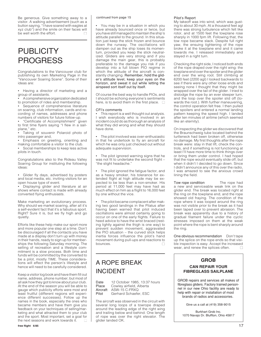Be generous. Give something away to a visitor. A walking advertisement (such as a button saying, "I have soared with eagles at xyz club") and the smile on their faces will be well worth the effort.  $\Box$ 

### **PUBLICITY** PROGRESS

Congratulations to the Vancouver club for publishing its own Marketing Page in the "Vancouver Soaring Scene". Some of their ideas are:

• Having a director of marketing and a group of assistants.

• A comprehensive organization dedicated to promotion of rides and membership.

Sequence of comprehensive literature on soaring, club information, cards and recording of names, addresses and phone numbers of visitors for future follow-up.

• "Certificate of Accomplishment" given to first time flyers saying "I flew in a sailplane," etc.

• Taking of souvenir Polaroid photo of intro passenger and,

• Emphasis on greeting, orienting and making comfortable a visitor to the club.

• Social memberships to keep less active pilots in touch.

Congratulations also to the Rideau Valley Soaring Group for instituting the following ideas:

Glider fly days, advertised by posters and local media, etc. inviting visitors for an open house type of event.

• Displaying glider and literature at air shows where contact is made with already converted flying enthusiasts.

Make marketing an evolutionary process. Why should we market soaring, after all it's a self-evident fact that it's a fabulous sport. Right? Sure it is, but we fly high and go quietly.

Efforts like these help make our sport more and more popular one step at a time. Don't be discouraged if all the contacts you have made at a display don't turn up with money in their hands, ready to sign up for memberships the following Saturday morning. The selling of recreation and a lifestyle commitment is a slow process. Both time and funds will be committed by the converted to be a pilot, mostly TIME. These considerations will effect the person's lifestyle and hence will need to be carefully considered.

Keep a visitor log book and have them fill out name, address, phone number; but most of all ask how they got to know about your club. At the end of the season you will be able to gauge which publicity efforts were most and least fruitful (different regions will experience different successes). Follow up the names in the book, especially the ones who became members and have them give you feedback on your techniques of selling/marketing and what attracted them to your club and the sport. Most important, set a goal for the next seasons and work towards it.  $\Box$ 

• You may be in a situation in which you have already bounced once or twice, but you have still managed to maintain the ship's attitude parallel to the ground. In this situation just keep the stick frozen and bounce down the runway. The oscillations will dampen out as the ship loses its momentum, provided you keep the stick neutralized. Gliders are very strong and if you damage the main gear, this is probably preferable to the damage you risk if you develop into a full blown PIO regime in which the attitude of the aircraft is constantly changing. Remember, hold the glider's attitude level, keep your eyes on the horizon, and sweat it out while letting the airspeed sort itself out by itself.

Of course the best way to handle PIOs, and I should be echoing everyone's sentiments here, is to avoid them in the first place.  $\square$ 

### CFI's comments

• This report is a well thought out analysis.<br>I wish everybody who is involved in an wish everybody who is involved in an incident could do as thorough an analysis of what they did wrong and what they should have done.

The pilot involved was over-enthusiastic in that he undertook to fly an aircraft for which he was only just checked out without adequate supervision.

The pilot ignored warning signs that he was not fit to undertake the second flight – "the slight headache."

The pilot ignored the fatigue factor, and as a heavy smoker, his tolerance for extended flight at high altitude may be expected to be less than a non-smoker. His period at 11,000 feet may have had as much effect on him as a flight to 16,000 feet by one without the vice.

• The pilot became complacent after making two good landings in the Pilatus after having been warned that pilot induced oscillations were almost certainly going to occur on one of the early flights. Failure to heed advice to have the wrist braced (resting lightly against the thigh is one way) to prevent sudden movement, aggravated the PIO situation – the curved stick helps inertia forces influence the pilot's hand movement during pull-ups and reactions to bounces.  $\Box$ 

### A ROPE BREAK INCIDENT

| 12 October 1985, 13:37 hours |
|------------------------------|
| Cowley airfield, Alberta     |
| ASW-15 C-FRXQ                |
| Gerhard Schaefer, ESC        |
|                              |

The aircraft was observed in the circuit with several long loops of a towrope draped around the leading edge of the right wing and trailing below and behind. One length of rope was over the right elevator. The glider landed OK.

### Pilot's Report

My takeoff was into wind, which was gusting to about 30 mph. At a thousand feet agl there was strong turbulence which felt like rotor, and at 1500 feet the towplane rose sharply in 1000 fpm lift. Following that, the tow rope became slack. Despite full right yaw, the ensuing tightening of the rope broke it at the towplane end and it came towards me. I released immediately and stayed in a right turn.

Checking the right side, I noticed both ends of the rope draped over the right wing: the towplane end over the spoiler and the glider end over the wing root. Still climbing at 6200 feet (2200 agl) I looked backwards to see if there were any other loose ends and seeing none I thought that they might be wrapped over the tail of the glider. I tried to dislodge the rope by an ever steeper turn, and the loop over the spoiler slid off (towards the root.). With further maneuvering, the control operation felt free. I then pulled the spoilers and entered a normal landing pattern keeping the speed high. I landed after ten minutes of airtime (which seemed like an eternity).

On inspecting the glider we discovered that the Braunschweig tube located behind the turtleneck had been broken off, otherwise no damage. My first thoughts after the rope break were: stay in that lift, check the controls, and if something is not functioning at least I'll have more time to think things over or bring them under control. I had hoped that the rope would eventually slide off, but when it didn't I decided to go down. Since I didn't announce any of this over the radio, I was amazed to see the anxious crowd lining the field.

Tow rope condition The rope had a new and serviceable weak link on the glider end. The break was located right at the ring on the towplane end, and the rope showed old fraying. The condition of the rope where it was looped around the ring was not visible prior to the break as it had been taped over to prevent abrasion. The break was apparently due to a history of gradual filament failure under the cyclic stresses imposed on them at the weak point where the rope is bent sharply around the ring.

One obvious recommendation Don't tape up the splice on the rope ends so that visible inspection is easy. Accept the increased wear, and renew the splices often.  $\Box$ 

### **GROB CAN REPAIR YOUR FIBREGLASS SAILPLANE**

GROB repairs and services all makes of fibreglass gliders. Factory trained personnel in our new Ohio facility are ready to help with repair or installation of most brands of radios and accessories.

Give us a call at (419) 358-9015

Burkhart Grob Inc. 1070 Navajo Dr. Bluffton, Ohio 45817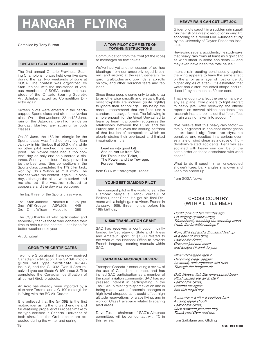# **HANGAR FLYING**

Compiled by Tony Burton

### **ONTARIO SOARING CHAMPIONSHIP**

The 2nd annual Ontario Provincial Soaring Championship was held over five days during the last two weekends of June at SOSA. The contest was organized by Stan Janicek with the assistance of various members of SOSA under the auspices of the Ontario Soaring Society. Art Schubert acted as Competition Director again.

Sixteen pilots were entered in the handicapped Sports class and six in the Novice class. On the first weekend, 22 and 23 June, rain on the Saturday, then high winds on Sunday, blanked any scoring for both classes.

On 29 June, the 153 km triangle for the Sports class was finished only by Stan Janicek in his Nimbus II at 53.3 km/h, while no other pilot reached the second turnpoint. The Novice class had a "no contest" day as only one ship scored a distance. Sunday, the "fourth" day, proved to be the best one. Nine competitors in the Sports class completed the 179.5 km task, won by Chris Wilson at 71.9 km/h. The novices were "no contest" again. On Monday, although the pilots were tasked and marshalled, the weather refused to cooperate and the day was scrubbed.

The top three for the Sports class were:

| 1st Stan Janicek | Nimbus II | $1751$ pts |
|------------------|-----------|------------|
| 2nd Wilf Krueger | ASW20B    | 1445       |
| 3rd Chris Wilson | Mosquito  | 1368       |

The OSS thanks all who participated and especially thanks those who donated their time to help run the contest. Let's hope for better weather next year.

### Art Schubert

### **GROB TYPE CERTIFICATES**

Two more Grob aircraft have now received Canadian certification. The G-109B motorglider has type certificate A-144- Issue 2, and the G-103A Twin II Aero received type certificate G-150-lssue 3. This completes the Canadian certification of all current Grob products.

An Acro has already been imported by a club near Toronto and a G-109 motorglider is flying with the BC Air Cadets.

It is believed that the G-109B is the first motorglider using the forward engine and full-featuring propeller of European make to be type certified in Canada. Deliveries of both aircraft to the Grob dealer are expected during the winter and spring.

### **A TOW PILOT COMMENTS ON TOWING INSTRUCTIONS**

Communication from the front (of the rope) re messages on tow tickets:

We've had yet another season of ad hoc bleatings from our underprivileged brethren (and sistern) at the rear; generally regarding altitudes and upwinds, snap rolls on tow, and other personal fears and fetishes.

Since these people serve only to add drag to an otherwise smooth and elegant flight, most towpilots are inclined (quite rightly) to ignore their scribblings. This being the case, I recommend that the flock use a standard message format. The following is simple enough for the Great Unwashed to learn by heart; it properly recognizes the relationship between the Puller and the Pullee; and it relieves the soaring serfdom of that burden of composition which so clearly strains their overtaxed and limited imaginations. It is:

Lead us into good Lift And deliver us from Sink For Thine is the Ticket, The Power, and the Towrope, Forever. Amen.

from Cu Nim "Barograph Traces"

### **YOUNGEST DIAMOND PILOT**

The youngest pilot in the world to earn the Diamond badge is Franck Verneuil of Bailleau, near Paris. He got his final Diamond with a height gain at Vinon, France in January, 1985, three months before his 18th birthday.

### **\$1500 TRANSLATION GRANT**

SAC has received a contribution, jointly funded by Secretary of State and Fitness and Amateur Sport, of \$1500 related to the work of the National Office to provide French language soaring manuals within SAC.

### **CANADIAN AIRSPACE REVIEW**

Transport Canada is conducting a review of the use of Canadian airspace, and has invited SAC participation as a member of the sport aviation community. SAC has expressed interest in participating in the Task Group relating to sport aviation and in being made aware of potential changes to high level airspace as it could affect high altitude reservations for wave flying, and in work on Class F airspace related to soaring alert areas.

Dave Tustin, chairman of SAC's Airspace committee, will be our contact with TC in this review.

### **HEAVY RAIN CAN CUT LIFT 30%**

Glider pilots caught in a sudden rain squall run the risk of a drastic reduction in wing lift, according to a recent NASA-funded study by the University of Dayton Research Institute.

Reviewing several accidents, the study says that heavy rain "was at least as significant as wind shear in some accidents — and may even have been the total cause."

Intense rain beating continuously against the wing appears to have the same effect on the airfoil as a layer of frost or ice. At higher angles of attack, it's estimated that water can distort the airfoil shape and reduce lift by as much as 30 per cent.

That's enough to affect the performance of any sailplane, from gliders to light aircraft to heavy jets. After reviewing the official reports on several airline accidents, the research institute points out that "the effect of rain was not taken into account."

"We believe that this heavy-rain factor totally neglected in accident investigation — produced significant aerodynamic penalties and resulted in a serious overestimate of wind shear as a cause of thunderstorm-related accidents. Penalties associated with heavy rain can be of the same order as those associated with wind shear."

What to do if caught in an unexpected shower? Keep bank angles shallower and keep the speed up.

from SOSA News

### CROSS-COUNTRY (WITH A LITTLE HELP)

*Could it be but ten minutes ago On singing uplifted wings, Triumphantly brushing the streeting cloud I rode the invisible springs?*

*Now, 20 k out and a thousand feet up In a bowl of arid blue, Lord of the Skies, Give me just one more and tonight I'll drink to you.*

*When did elation fade? Becoming bleak despair. As steady sink replaced wild rush Through the buoyant air.*

*Dull, lifeless, flat, like long-poured beer! What causes the air to die? Lord of the Skies, Breathe life again Into this turgid sky.*

*A murmur – a lift – a cautious turn A rising joyful shout! Lord of the Skies, (Just between you and me) Thank you! Over and out.*

from Sailplane and Gliding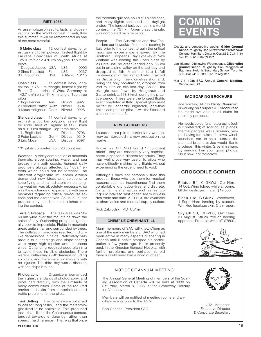### **RIETI 1985**

An assemblage of results, facts, and observations on the World contest in Rieti, Italy this summer. It will be remembered as one of the most eventful.

15 Metre class 12 contest days, longest task a 575 km polygon, fastest flight by Laurens Goudriaan of South Africa at 125.9 km/h on a 470 km polygon. Top three pilots:

| 1 Douglas Jacobs USA |            | LS6          | 10902 |
|----------------------|------------|--------------|-------|
| 2 Simo Kuusisto      | Hin.       | LS6.         | 10237 |
| 3 L. Goudriaan       | <b>RSA</b> | ASW-20 10115 |       |

Open class 11 contest days, longest task a 751 km triangle, fastest flight by Bruno Gantenbrink of West Germany at 142.7 km/h on a 474 km triangle. Top three pilots:

| 1 Ingo Renner             | Aus | Nimb <sub>3</sub> 9927 |      |
|---------------------------|-----|------------------------|------|
| 2 Frederico Blatter Switz |     | Nimb <sub>3</sub>      | 9504 |
| 3 Klaus Holighaus Germ    |     | Nimb <sub>3</sub>      | 9228 |

Standard class 11 contest days, longest task a 505 km polygon, fastest flight by Andy Davis of England at 117.3 km/h on a 313 km triangle. Top three pilots:<br>1 L. Brigliadori lt Discus 9706 1 L. Brigliadori It Discus 9706<br>2 Peter Lackner Germ Discus 9510 2 Peter Lackner Germ Discus<br>3 Eric Mozer USA Discus Discus 9397

101 pilots competed from 26 countries.

Weather A tricky combination of mountain thermals, slope soaring, wave, and sea breeze from both coasts. General daily prognosis always affected by "local" effects which could not be forecast. The different orographic influences always demanded new ideas and solutions to keep flying, and trained attention to changing weather was absolutely necessary; so was the exchange of experience with team members regarding critical on-course actions and the alternatives. As usual, super practice day conditions diminished during the contest.

Terrain/Airspace The task area was 50– 60 km wide over the mountains down the spine of Italy. Outlanding prospects generally poor to impossible. Fields in mountain areas quite small and surrounded by trees. The cultivation practices resulted in ditchlike depressions in fields. Particularly hazardous to outlandings and slope soaring were many high tension and telephone wires. Outlanding required good planning to avoid these invisible obstacles. There were 20 outlandings with damage including six totals, and there were two mid-airs with no injuries. The third day was a disaster, with ten ships broken.

Photography Organizers demanded the highest standards of photography, and pilots had difficulty with the similarity of many communities. Some of the required entries and exits from turnpoints created traffic problems for the pilots.

Task Setting The Italians were not afraid to call for long tasks, and the meteorologist liked to be optimistic. This produced tasks that, like in the Châteauroux contest, tended towards endurance rather than speed. The difference in Rieti was that once the thermals quit one could still slope soar, and many flights continued until daylight ended. The longest task ever set in a world contest, the 751 km Open class triangle, was completed by nine pilots.

People The Australians and New Zealanders put in weeks of mountain soaring in Italy prior to the contest to gain the critical mountain experience enjoyed by the Southern Europeans. Ray Lynskey of New Zealand was leading the Open class by 230 pts until he crash-landed only 56 km out in an alpine valley on the last day and dropped to 5th. A similar fate befell Leutenegger of Switzerland who crashed his Discus only three kilometres short and, being the only non-finisher, dropped from 2nd to 11th on this last day. An 880 km triangle was flown by Holighaus and Gantenbrink at 118.8 km/h during the practice period. These were the longest flights ever completed in Italy. Special glory must be felt by Leonardo Brigliadori, long-time Italian competition pilot, to win the Standard class on home turf.

### **NEW X-C DIAPERS**

I suspect that pilots, particularly women, may be interested in a new product on the market.

Known as ATTENDS brand "incontinent briefs", they are essentially very sophisticated disposable diapers for adults. They may well prove very useful to pilots who have difficulty making long flights without experiencing the urgent need to void.

Although I have not personally tried this product, those who use them for medical reasons such as incontinence find them comfortable, dry, odour-free, and discrete. Certainly, the alternatives such as restricting fluid intake to "last longer" are much less desirable and safe. ATTENDS are available at pharmacies and medical supply outlets.

Rick Zabrodski, MD CuNim

### **"CHEM" LE CHEMINANT ILL**

Many members of SAC will know Chem as one of the early members of SAC who had been active in many aspects of soaring in Canada until ill health stopped his participation a few years ago. He is presently back in the Kingston General Hospital with further problems, and perhaps his old friends could send him a word of cheer.

### **COMING EVENTS**

- Oct 22 and consecutive weeks, **Glider Ground School** taught by Bob Kurzwernhart at Mohawk College, Hamilton, Ontario. Cost \$65. Call (416) 575-2139 or 2036 for info.
- Jan 15, and 10 following Wednesdays, **Glider pilot ground school** taught by Paul Moggach at Bathhurst Heights Secondary School, Toronto. \$30. Call (416) 789-0551 to register.

Mar 7-8, **1986 SAC Annual General Meeting**, Vancouver, BC.

### **SAC SOARING BROCHURE**

Joe Somfay, SAC Publicity Chairman, is working on a super SAC brochure to be made available to all clubs for publicity purposes.

He needs colourful photographs (colour preferred) of soaring, sailplanes, thermal gaggles, wave, scenery, people having fun, take-offs, tows, winch launches, etc. to help illustrate the planned brochure. Joe would like to produce it this winter. Give him a hand by sending him your good photos. Do it now, not tomorrow.

### **CROCODILE CORNER**

Pilatus B4, C-GXWJ, Cu Nim, 14 Oct. Wing folded while airborne. Glider destroyed. Fatal. \$19,000.

Blanik L13, C-GKMY, Vancouver, 1 Sept. Hard landing by student. Wrinkled fuselage skin. Claim open.

Skylark 3B, CF-ZDJ, Gatineau, 31 August. Struck tree on landing approach. Probable write-off. \$7500.



### NOTICE OF ANNUAL MEETING

The Annual General Meeting of members of the Soaring Assocation of Canada will be held at 0930 on Saturday, March 8, 1986, at the Broadway Holiday Inn,Vancouver.

Members will be notified of meeting rooms and ancillary events prior to the AGM.

Bob Carlson, President SAC



J.M. Matheson Executive Director & Corporate Secretary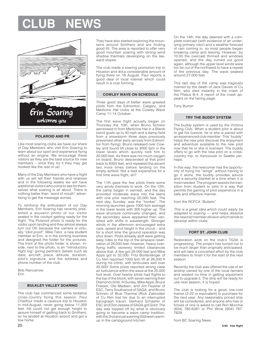# **LUB NEW**



### **POLAROID AND PR**

Like most soaring clubs we have our share of Day Members who visit Erin Soaring to learn about our sport and experience flying without an engine. We encourage these visitors as they are the best source for new members – once they try it they may get hooked like the rest of us!

Many of the Day Members who have a flight with us will tell their friends and relatives and in the following weeks we will have additional visitors who come to see for themselves what soaring is all about. There is nothing better than "word of mouth" advertising to get the message across.

To reinforce the enthusiasm of our Day Members, Erin Soaring has recently presented a souvenir photo of our visitor seated in the cockpit getting ready for the flight. The Polaroid photo is ready for the visitor upon landing and they almost always turn out OK because the camera is virtually "idiot proof". Mike Tator, a new student member at Erin, is in the printing business and designed the folder for the pictures. The front of the photo folder is shown. Inside, next to the photo, is an "introductory flight log" giving pertinent details such as date, aircraft, place, altitude, duration, pilot's signature, and the address and phone number of the club.

Bob Nancarrow Erin

### **BULKLEY VALLEY SOARING**

The club has commenced some tentative cross-country flying this season. Paul Chalifour made a cautious trip to Houston in mid-August, never going below 11,000 feet. He could not get enough height to assure himself of getting back to Smithers, so he landed at Houston airport and got a tow home.

They have also started exploring the mountains around Smithers and are finding good lift. The area is reported to offer very good mountain soaring with strong wind shadow thermals developing on the leeward slopes.

The club made a soaring promotion trip to Houston and did a considerable amount of flying there on 18 August. Paul reports a good deal of local interest which could result in a club forming.

### **COWLEY WAVE ON SCHEDULE**

Three good days of better wave greeted pilots from the Edmonton, Calgary, and Medicine Hat clubs at the Cowley Wave Camp 11-14 October.

The first wave flight actually began on Thursday the 10th, when Bruno Schrein aerotowed in from Medicine Hat in a Blanik (wind gusts up to 40 mph and a damp field from a snowstorm three days previously prevented other early arrivals from Edmonton from flying). Bruno released over Cowley and found lift close to 3000 fpm in the lower levels which quickly took him to 20,000 feet. As there was not much oxygen on board, Bruno descended at that point back to 6000 feet, and repeated the ascent two more times before landing on the empty airfield. Not a bad experience for a first time wave flight, eh?

The 11th gave the few pilots there some very windy thermals to work. On the 12th, the camp began in earnest, and the day provided moderate wave into the teens with one pilot reaching 20,000 feet. The next day, Sunday, was the "honker". The morning launches gave 1000 fpm average in the lower levels with 300 higher up. The wave structure continually changed, and the secondary wave appeared then vanished with shifts in wavelength. Stronger winds in the afternoon encouraged extra care, speed and height in the circuit – and for a short time the ground operation was shut down. Pilots already aloft were getting easy rides to the top of the airspace reservation of 28,000 feet; however, heavy overflying traffic severely limited clearances above that. A few got 29,000 feet and Mike Apps got to 32,000. Fritz Bortenlänger of Cu Nim reported 1000 fpm lift at 26,000 ft during his climb, with lenticulars well over 35,000! Some pilots reported strong clear air turbulence within the wave at the 25,000 foot level. Over twenty pilots had flights to the top of the block, with seven earning their Diamond climb: Al Sunley, Mike Apps, Bruce Friesen, Ole Madsen, and Jim Feyerer of ESC, Terry Southwood of SAGA, and Bruno Schrein of Blue Thermal (Rick Zabrodski of Cu Nim lost his due to an interrupted barograph trace). Gerhard Schaefer of ESC and Don Jessee of SAGA got Gold. The day was topped off by what is obviously going to become a wave camp tradition, with the 2nd annual evening Glühwein warmup in the campground kitchen.

On the 14th, the day dawned with a complete overcast (with evidence of an underlying primary rotor) and a weather forecast of rain coming in, so most people began breaking camp and leaving. However, by 10:00 the overcast thinned and windows opened, and the day turned out good again, although the upper level winds were too far out of the northwest to have a repeat of the previous day. The wave peaked around 27,000 feet.

This last day of the camp was tragically marred by the death of Jack Davies of Cu Nim, who died instantly in the crash of the Pilatus B-4. A report of the crash appears on the facing page.

Tony Burton

### **TRY THE BUDDY SYSTEM**

The buddy system is used by the Victoria Flying Club. When a student pilot is about to get his licence, he or she is paired with an experienced club member. This "buddy" helps the new pilot discover the enjoyment and adventure available to the new pilot now that he or she is licensed. The buddy offers to go with the new pilot on a crosscountry trip, to Vancouver or Seattle perhaps.

In this way, the newcomer has the opportunity of trying his "wings" without having to go it alone, the buddy provides advice and a security blanket at a time when it is most needed. The program assists the transition from student to pilot in a way that permits the gaining of pilot experience in a safe and effective manner.

from the RCFCA "Bulletin"

This is a great idea which could easily be adapted to soaring — and helps dissolve the new/old member division which tends to develop within clubs.

### **FORT ST. JOHN CLUB**

Restoration work on the club's TG3A is progressing. The project has turned out to be much larger than originally anticipated, and will take a concerted effort by the club members to finish it for the start of the next season.

Recently the club was offered the use of an airstrip owned by one of the local farmers and wasted no time in getting equipment out to upgrade it. The strip will be ready for use next season, it is hoped.

The club is looking for a good, low-cost trainer (2-22 or equivalent) to purchase for the next year. Any reasonably priced ship will be considered, and anyone who has or knows of one is asked to call Ron Murchie (604) 785-6381 or Phil Wroe (604) 787- 7629.

from BC Soaring News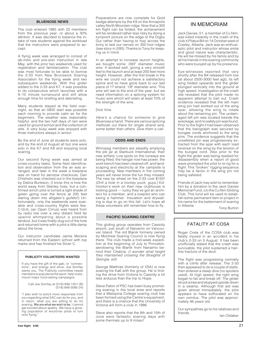### **BLUENOSE NEWS**

The club entered 1985 with 22 members from the previous year, or about a 30% attrition. It was decided to balance the intake of new students against the workload that the instructors were prepared to accept.

A flying week was arranged to consist of ab-initio and pre-solo instruction in late May, with the prior two weekends used for registration and familiarization. The club was most fortunate to be able to borrow the 2-33 from New Brunswick Soaring Association for the flying week and two subsequent weekends. With this glider added to the 2-33 and K7, it was possible to do consecutive winch launches with a 9–10 minute turnaround and still allow enough time for briefing and debriefing.

Many students stayed at the field overnight, so that an 0800 start was possible each morning to provide calm air for the beginners. The weather was reasonably helpful, and the two half days of rain were used for ground school and the collection of wits. A very busy week was enjoyed with three instructors always in action.

By the end of June all students were solo, and by the end of August all but one were solo in the K7 and K8 and enjoying local soaring.

Our second flying week was aimed at cross-country tasks. Some field identification and observation from the air was arranged, and later in the week a towplane was on hand for aerotow checkouts. Dan Chisholm was checked out in the towplane by Debra Burleson. (I know this is how the world away from Stanley lives, but a confirmed winch pilot is turned a light shade of green going over the fence at 200 feet staring down into alligator's gullets!) Unfortunately, only the weekends were soarable and cross-country flights were few. C-GUIL (an Open Cirrus) was heard from by radio low over a very distant field far upwind whimpering about a possible landout, but it was finally dug out of the hole and returned home with a pilot a little damp about the brow.

Our instructor candidate Jamie Moreira returned from the Eastern school with top marks and has finished his Silver C.

### **PUBLICITY VOLUNTEERS WANTED**

If you have the gift of the gab, or "connections", and energy and drive, Joe Somfay wants you. The Publicity committee needs members to popularize the sport, help clubs, mount major fund-raising campaigns.

> Call Joe Somfay at (519) 836-1201 (B) (519) 846-5085 (H)

"I also wish to solicit more responses from you regarding what SAC can do for you, and in return, what you are willing to do for soaring. We are what we wish to be, I cannot get excited about apathy. We have a growing population of would-be pilots to turn onto flying."

Preparations are now complete for Gold badge attempts by the K8 on the Annapolis valley North Mountain ridge. Now that a 300 km flight can be folded, the achievement will be rendered rather less risky by doing a turnpoint picture on the edge of the Digby Gut rather than having to hop across the briny to test our nerves on 350 foot ridges (see story in 2/85). Thanks to Tony for keeping us in mind.

In an attempt to increase launch heights, we bought some .093" diameter music wire. It worked well, giving a very smooth feel to the launch and at least 200 feet more height. However, after the first break in the wire we could not achieve a satisfactory splice and so have gone back to our last piece of 17 strand, 1/8" diameter wire. This wire will last to the end of the year, but we need information on a splicing system for music wire which will retain at least 70% of the strength of the wire.

#### Dick Vine

Here's a chance for someone to give Bluenose a hand. There are various splicing methods out there for single strand wire, some better than others. Give them a call.

### **ODDS AND ENDS**

Winnipeg members are steadily emptying the job jar at Starbuck International, their new airfield. Low spots on the runways are being filled, the hangar now has power, the work bench has been cleaned off, and landscaping and electricity at the campsite is proceeding. New members in the coming years will never know the fun they missed. The new tip wheel on the 2-33 cost \$150! (Drill a hole in a hockey puck, guys.) Edmonton's work on their new clubhouse is looking good — lucky they've got an architect for a member, and a towpilot who can swing a hammer. Insulation and drywalling is due to go on this fall. Let's hope all these volunteers still remember how to fly.

### **PACIFIC SOARING CENTRE**

This gliding group operates from Cassidy airport, just south of Nanaimo on Vancouver Island. The old Blanik formerly owned by Montreal Soaring Council is now flying there. The club made a mid-week expedition at the beginning of July to Princeton, aerotowing the Blanik from Nanaimo behind their Citabria. (I wonder what height they maintained crossing the Straights of Georgia. ed)

George Matthias (formerly of VSA) is now soaring his Ka6 with the group. He is finding the drive from Victoria to Cassidy a lot less arduous than the trip to Hope.

Steve Paton of PSC has been busy promoting soaring in the local area and reports that a Malispina College soaring club has been formed using the Centre's equipment, and there is a chance that the University of Victoria will form a club in 1986.

Steve also reports that the 8th and 15th of June were fantastic soaring days with some thermals up to 9 m/sec!

### IN MEMORIAM

Jack Davies, 51, a member of Cu Nim, was killed instantly in the crash of the club's Pilatus B4 on 14 October west of Cowley, Alberta. Jack was an enthusiastic pilot and instructor whose smile and good nature was characteristic. He will be missed by his family and by all his friends in the soaring community who were buoyed up by his presence.

Eye-witnesses reported that very shortly after the B4 released from tow (at about 2500-3000 feet agl), its left wing folded upwards and the glider plunged vertically into the ground at high speed. Investigation at the crash site revealed that the pilot made no apparent attempt to bail out. Crash evidence revealed that the left main wing pin had worked out of the wing spar, allowing the wing to rotate about the remaining pin. The undamaged left pin was located beside the wreckage, and no safety pin was found. Prior to the flight it had been observed that the barograph was secured by bungee cords anchored to the wing pins. The evidence suggests that the unsafetied pin was progressively extracted from the spar with each load reversal on the wing by the tension of the bungee cord. Also prior to the flight the glider was being readied for disassembly when a report of good wave prompted the pilot to re-rig for a flight. This "broken" rigging sequence may be a factor in the wing pin not being safetied.

Friends of Jack may wish to remember him by a donation to the Jack Davies Memorial Fund, c/o the Cu Nim Gliding Club. This fund will be used to establish some permanent item or project in his name for the betterment of soaring in Alberta

Tony Burton

### FATALITY AT COSA

Roger Crete of the COSA club was fatally injured in an accident in his club's 2-33 on 5 August. It has been unofficially stated that the crash was survivable, the pilot sustained a hairline fracture of the skull.

The flight was progressing normally with a climb after release. The 2-33 then appeared to do a couple of stalls, then entered a steep dive (no spoilers used). At high speed, the right wing began to fail and break off. The glider struck a tree and stopped upside-down in a swamp. Although first aid was given almost immediately, the pilot appears to have suffocated on his own vomitus. The pilot was approximately 46 years old.

Our sympathies go to his relatives and Ian Oldaker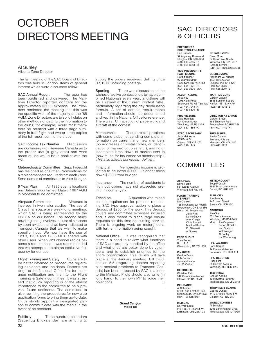### **OCTOBER** DIRECTORS MEETING

### Al Sunley Alberta Zone Director

The fall meeting of the SAC Board of Directors was held in London. Items of general interest which were discussed follow.

SAC Annual Report The report has been published and delivered. The Maritime Director reported concern for the approximately \$5000 expense. The President reminded the meeting that this was the specific wish of the majority at the '85 AGM. Zone Directors are to solicit clubs on other methods of getting the information to the clubs; for example, would most members be satisfied with a three page summary in free flight and two or three copies of the full report sent to the clubs.

SAC Income Tax Number Discussions are continuing with Revenue Canada as to the proper use (a grey area) and what areas of use would be in conflict with the Act.

Meteorological Committee Sepp FroeschI has resigned as chairman. Nominations for a replacement are required from each Zone. Send names of candidates to Alex Krieger.

6 Year Plan All 1986 events locations and dates are confirmed. Date of 1987 AGM in Montreal to be confirmed.

Airspace Committee **Airspace** is involved in two major studies. The use of Class F airspace are week-long meetings which SAC is being represented by the RCFCA on our behalf. The second study now beginning involves the use of airspace by sport aviation, and we have indicated to Transport Canada that we wish to make specific input. We now have the use of 123.3, 123.4 and 123.5 MHz, shared with other users. When 720 channel radios become a requirement, it was recommended that we attempt to obtain an exclusive frequency for our use.

Flight Training and Safety Clubs are to be better informed on procedures regarding accidents and incidents. Reports are to go to the National Office first for insurance notification and then to the Flight Training & Safety committee. It was stressed that quick reporting is of the utmost importance to the committee to help prevent future accidents. The committee is also rewriting the procedures for new club application forms to bring them up-to-date. Clubs should appoint a designated person to communicate with the media in the event of an accident.

22 Publicity Three hundred calendars (Segelflug Bildkalender) are arriving to

supply the orders received. Selling price is \$15.00 including postage.

Sporting There was discussion on the wishes of active contest pilots to have combined Nationals every year, and there will be a review of the current contest rules, particularly regarding the day devaluation formula. A set of contest requirements and information should be documented and kept in the National Office for reference. There was TC inspection of paperwork and aircraft at the contest.

Membership There are still problems with some clubs not sending complete information on current and new members (no addresses or postal codes, or identification of married couples, etc.), and no or incomplete breakdown of monies sent in (how much for insurance vs membership). This also affects tax receipt delivery.

Financial Membership income is projected to be down \$2000. Calendar sales down \$2000 from budget.

Insurance The number of accidents is high but claims have not exceeded premium income (yet).

Technical A question was raised on the requirement for persons requesting SAC type approval action to place a deposit of \$250 for the work. This deposit covers any committee expenses incurred and is also meant to discourage casual requests for this time-consuming service. There is ongoing work on motorgliders, with further information being sought.

National Office It was recognized that there is a need to review what functions of SAC are properly handled by the office and what ones are better done by volunteers, and to establish priorities for the entire organization. This review will take place at the January meeting. Bill C-36, section 5.5 (regarding doctors reporting pilot medical problems to Transport Canada) has been opposed by SAC in a letter to the Minister. Pilots should also write (in long hand) to their own MP to voice their objections.  $\Box$ 

> **Grand Canyon video ad**

### SAC DIRECTORS & OFFICERS

#### **PRESIDENT & DIRECTOR-AT-LARGE**

Bob Carlson 57 Anglesey Boulevard Islington, ON M9A 3B6 (416) 239-4735 (H)  $(416)$  365-3558 (B)

**VICE-PRESIDENT & PACIFIC ZONE** Harald Tilgner 90 Warrick Street Coquitlam, BC V3K 5L4 (604) 521-4321 (H)  $(604)$  263-3630 (VSA)

**ALBERTA ZONE**

Quebec, PQ G1T 1Z9 (418) 681-3638 (H) (418) 656-2207 (B) **MARITIME ZONE** Gordon Waugh

**ONTARIO ZONE** Dixon More 27 Roslin Ave South Waterloo, ON N2L 2G7 (519) 886-2424 (H) (519) 824-4120 ext 3296 (B)

**QUEBEC ZONE** Alexandre W. Krieger 1450 Oak Avenue

Al Sunley 1003 Keith Road Sherwood Pk, AB T8A 1G2 Halifax, NS B3K 4A9 (403) 464-7948 (H) (403) 453-8330 (B)

5546 Sentinel Square (902) 455-4045 (B)

**PRAIRIE ZONE** Dave Hennigar 404 Moray Street Winnipeg, MB R3J 3A5 (204) 837-1585 (H)

**DIRECTOR-AT-LARGE** Gordon Bruce 154 Shannon Park Beaconsfield, PQ H9W 2B8 (514) 697-1442 (H)

**EXEC SECRETARY** Jean Matheson 485 Bank St. Ottawa, ON K2P 1Z2 (613) 232-1243

**TREASURER** Jim McCollum Box 259, R.R. #3 Manotick, ON K0A 2N0 (613) 692-2227

### **COMMITTEES**

#### **AIRSPACE** Dave Tustin 581 Lodge Avenue

**FLIGHT TRAINING & SAFETY** Ian Oldaker

Winnipeg, MB R3J 0S7 **METEOROLOGY** Sepp Froeschl 1845 Brookdale Avenue Dorval, PQ H9P 1X5

> **PUBLICITY** Joe Somfay 442 Union Street Salem, ON N0B 1S0

Georgetown, ON L7G 3P8 Mbrs: G. Eckschmiedt John Firth Denis Gauvin Alex Krieger Chris Purcell Manfred Radius Ed Sliwinski Al Sunley

135 Mountainview Road N

**FREE FLIGHT** Tony Burton Box 1916 Claresholm, AB T0L 0T0

**FINANCIAL** Gordon Bruce Bob Carlson Jean Matheson Jim McCollum

**HISTORICAL** Christine Firth 542 Coronation Avenue Ottawa, ON K1G 0M4

**INSURANCE** Al Schreiter 3298 Lone Feather Cres. Mississauga, ON L4Y 3G5 Mbr: Al Schreiter

**MEDICAL** Dr. Wolf Leers #201, 3271 Bloor St. W. Etobicoke, ON M8X 1E2 **SPORTING** Jim Oke 551 Bruce Avenue Winnipeg, MB R3J 0W3<br>Mbrs: Jim Carpenter Jim Carpenter Robert DiPietro Karl Doetsch

Wilf Krueger Al Sunley Hal Werneburg • **FAI AWARDS**

Boris Karpoff 14 Elmwood Avenue Senneville, PQ H9X 1T4

• **FAI RECORDS** Russ Flint 96 Harvard Avenue Winnipeg, MB R3M 0K4

**TECHNICAL** George Adams 12 Hiawatha Parkway Mississauga, ON L5G 3R8

**TROPHIES & CLAIMS** George Dunbar 1419 Chardie Place SW Calgary, AB T2V 2T7

**WORLD CONTEST** Al Schreiter 3298 Lone Feather Cres. Mississauga, ON L4Y3G5